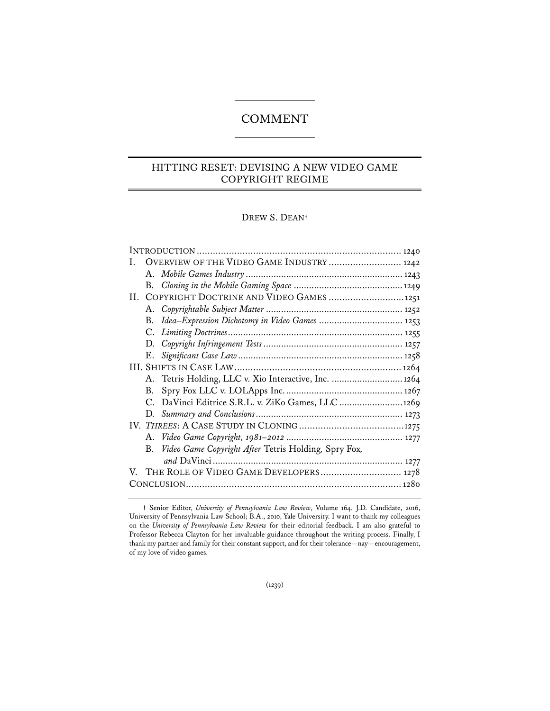# COMMENT

## HITTING RESET: DEVISING A NEW VIDEO GAME COPYRIGHT REGIME

### DREW S. DEAN**†**

| Ι. | OVERVIEW OF THE VIDEO GAME INDUSTRY  1242                  |  |  |
|----|------------------------------------------------------------|--|--|
|    |                                                            |  |  |
|    |                                                            |  |  |
| Н. | COPYRIGHT DOCTRINE AND VIDEO GAMES  1251                   |  |  |
|    |                                                            |  |  |
|    |                                                            |  |  |
|    |                                                            |  |  |
|    |                                                            |  |  |
|    |                                                            |  |  |
|    |                                                            |  |  |
|    | A. Tetris Holding, LLC v. Xio Interactive, Inc.  1264      |  |  |
|    | В.                                                         |  |  |
|    | C. DaVinci Editrice S.R.L. v. ZiKo Games, LLC 1269         |  |  |
|    |                                                            |  |  |
|    |                                                            |  |  |
|    |                                                            |  |  |
|    | Video Game Copyright After Tetris Holding, Spry Fox,<br>В. |  |  |
|    |                                                            |  |  |
|    | V. THE ROLE OF VIDEO GAME DEVELOPERS 1278                  |  |  |
|    |                                                            |  |  |
|    |                                                            |  |  |

**<sup>†</sup>** Senior Editor, *University of Pennsylvania Law Review*, Volume 164. J.D. Candidate, 2016, University of Pennsylvania Law School; B.A., 2010, Yale University. I want to thank my colleagues on the *University of Pennsylvania Law Review* for their editorial feedback. I am also grateful to Professor Rebecca Clayton for her invaluable guidance throughout the writing process. Finally, I thank my partner and family for their constant support, and for their tolerance—nay—encouragement, of my love of video games.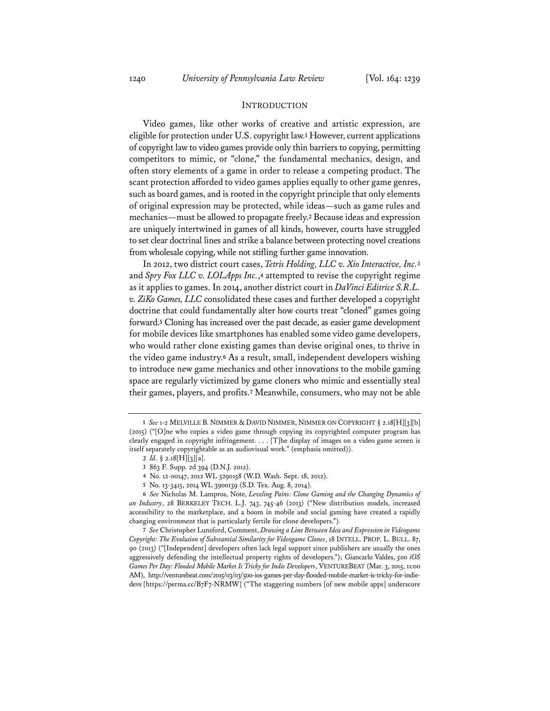#### INTRODUCTION

Video games, like other works of creative and artistic expression, are eligible for protection under U.S. copyright law.**<sup>1</sup>** However, current applications of copyright law to video games provide only thin barriers to copying, permitting competitors to mimic, or "clone," the fundamental mechanics, design, and often story elements of a game in order to release a competing product. The scant protection afforded to video games applies equally to other game genres, such as board games, and is rooted in the copyright principle that only elements of original expression may be protected, while ideas—such as game rules and mechanics—must be allowed to propagate freely.**<sup>2</sup>** Because ideas and expression are uniquely intertwined in games of all kinds, however, courts have struggled to set clear doctrinal lines and strike a balance between protecting novel creations from wholesale copying, while not stifling further game innovation.

In 2012, two district court cases, *Tetris Holding, LLC v. Xio Interactive, Inc.***<sup>3</sup>** and *Spry Fox LLC v. LOLApps Inc.*,**<sup>4</sup>** attempted to revise the copyright regime as it applies to games. In 2014, another district court in *DaVinci Editrice S.R.L. v. ZiKo Games, LLC* consolidated these cases and further developed a copyright doctrine that could fundamentally alter how courts treat "cloned" games going forward.**<sup>5</sup>** Cloning has increased over the past decade, as easier game development for mobile devices like smartphones has enabled some video game developers, who would rather clone existing games than devise original ones, to thrive in the video game industry.**<sup>6</sup>** As a result, small, independent developers wishing to introduce new game mechanics and other innovations to the mobile gaming space are regularly victimized by game cloners who mimic and essentially steal their games, players, and profits.**<sup>7</sup>** Meanwhile, consumers, who may not be able

**<sup>1</sup>** *See* 1-2 MELVILLE B. NIMMER & DAVID NIMMER, NIMMER ON COPYRIGHT § 2.18[H][3][b] (2015) ("[O]ne who copies a video game through copying its copyrighted computer program has clearly engaged in copyright infringement. . . . [T]he display of images on a video game screen is itself separately copyrightable as an audiovisual work." (emphasis omitted)).

**<sup>2</sup>** *Id.* § 2.18[H][3][a].

**<sup>3</sup>** 863 F. Supp. 2d 394 (D.N.J. 2012).

**<sup>4</sup>** No. 12-00147, 2012 WL 5290158 (W.D. Wash. Sept. 18, 2012).

**<sup>5</sup>** No. 13-3415, 2014 WL 3900139 (S.D. Tex. Aug. 8, 2014).

**<sup>6</sup>** *See* Nicholas M. Lampros, Note, *Leveling Pains: Clone Gaming and the Changing Dynamics of an Industry*, 28 BERKELEY TECH. L.J. 743, 745-46 (2013) ("New distribution models, increased accessibility to the marketplace, and a boom in mobile and social gaming have created a rapidly changing environment that is particularly fertile for clone developers.").

**<sup>7</sup>** *See* Christopher Lunsford, Comment, *Drawing a Line Between Idea and Expression in Videogame Copyright: The Evolution of Substantial Similarity for Videogame Clones*, 18 INTELL. PROP. L. BULL. 87, 90 (2013) ("[Independent] developers often lack legal support since publishers are usually the ones aggressively defending the intellectual property rights of developers."); Giancarlo Valdes, *500 iOS Games Per Day: Flooded Mobile Market Is Tricky for Indie Developers*, VENTUREBEAT (Mar. 3, 2015, 11:00 AM), http://venturebeat.com/2015/03/03/500-ios-games-per-day-flooded-mobile-market-is-tricky-for-indiedevs [https://perma.cc/B7F7-NRMW] ("The staggering numbers [of new mobile apps] underscore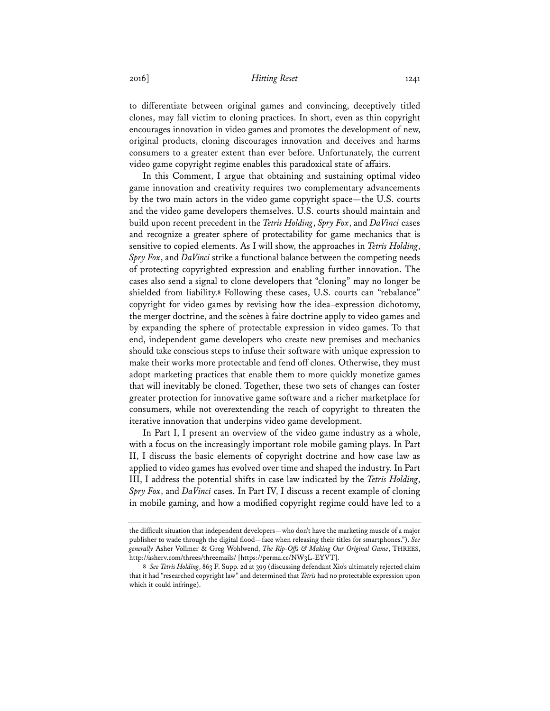to differentiate between original games and convincing, deceptively titled clones, may fall victim to cloning practices. In short, even as thin copyright encourages innovation in video games and promotes the development of new, original products, cloning discourages innovation and deceives and harms consumers to a greater extent than ever before. Unfortunately, the current video game copyright regime enables this paradoxical state of affairs.

In this Comment, I argue that obtaining and sustaining optimal video game innovation and creativity requires two complementary advancements by the two main actors in the video game copyright space—the U.S. courts and the video game developers themselves. U.S. courts should maintain and build upon recent precedent in the *Tetris Holding*, *Spry Fox*, and *DaVinci* cases and recognize a greater sphere of protectability for game mechanics that is sensitive to copied elements. As I will show, the approaches in *Tetris Holding*, *Spry Fox*, and *DaVinci* strike a functional balance between the competing needs of protecting copyrighted expression and enabling further innovation. The cases also send a signal to clone developers that "cloning" may no longer be shielded from liability.**<sup>8</sup>** Following these cases, U.S. courts can "rebalance" copyright for video games by revising how the idea–expression dichotomy, the merger doctrine, and the scènes à faire doctrine apply to video games and by expanding the sphere of protectable expression in video games. To that end, independent game developers who create new premises and mechanics should take conscious steps to infuse their software with unique expression to make their works more protectable and fend off clones. Otherwise, they must adopt marketing practices that enable them to more quickly monetize games that will inevitably be cloned. Together, these two sets of changes can foster greater protection for innovative game software and a richer marketplace for consumers, while not overextending the reach of copyright to threaten the iterative innovation that underpins video game development.

In Part I, I present an overview of the video game industry as a whole, with a focus on the increasingly important role mobile gaming plays. In Part II, I discuss the basic elements of copyright doctrine and how case law as applied to video games has evolved over time and shaped the industry. In Part III, I address the potential shifts in case law indicated by the *Tetris Holding*, *Spry Fox*, and *DaVinci* cases. In Part IV, I discuss a recent example of cloning in mobile gaming, and how a modified copyright regime could have led to a

the difficult situation that independent developers—who don't have the marketing muscle of a major publisher to wade through the digital flood—face when releasing their titles for smartphones."). *See generally* Asher Vollmer & Greg Wohlwend, *The Rip-Offs & Making Our Original Game*, THREES, http://asherv.com/threes/threemails/ [https://perma.cc/NW3L-EYVT].

**<sup>8</sup>** *See Tetris Holding*, 863 F. Supp. 2d at 399 (discussing defendant Xio's ultimately rejected claim that it had "researched copyright law" and determined that *Tetris* had no protectable expression upon which it could infringe).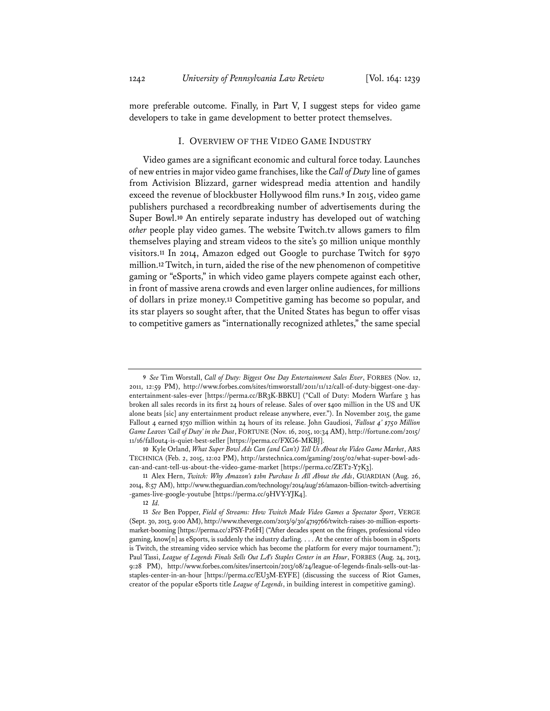more preferable outcome. Finally, in Part V, I suggest steps for video game developers to take in game development to better protect themselves.

### I. OVERVIEW OF THE VIDEO GAME INDUSTRY

Video games are a significant economic and cultural force today. Launches of new entries in major video game franchises, like the *Call of Duty* line of games from Activision Blizzard, garner widespread media attention and handily exceed the revenue of blockbuster Hollywood film runs.**<sup>9</sup>** In 2015, video game publishers purchased a recordbreaking number of advertisements during the Super Bowl.**<sup>10</sup>** An entirely separate industry has developed out of watching *other* people play video games. The website Twitch.tv allows gamers to film themselves playing and stream videos to the site's 50 million unique monthly visitors.**<sup>11</sup>** In 2014, Amazon edged out Google to purchase Twitch for \$970 million.**<sup>12</sup>** Twitch, in turn, aided the rise of the new phenomenon of competitive gaming or "eSports," in which video game players compete against each other, in front of massive arena crowds and even larger online audiences, for millions of dollars in prize money.**<sup>13</sup>** Competitive gaming has become so popular, and its star players so sought after, that the United States has begun to offer visas to competitive gamers as "internationally recognized athletes," the same special

**<sup>9</sup>** *See* Tim Worstall, *Call of Duty: Biggest One Day Entertainment Sales Ever*, FORBES (Nov. 12, 2011, 12:59 PM), http://www.forbes.com/sites/timworstall/2011/11/12/call-of-duty-biggest-one-dayentertainment-sales-ever [https://perma.cc/BR3K-BBKU] ("Call of Duty: Modern Warfare 3 has broken all sales records in its first 24 hours of release. Sales of over \$400 million in the US and UK alone beats [sic] any entertainment product release anywhere, ever."). In November 2015, the game Fallout 4 earned \$750 million within 24 hours of its release. John Gaudiosi, *'Fallout 4' \$750 Million Game Leaves 'Call of Duty' in the Dust*, FORTUNE (Nov. 16, 2015, 10:34 AM), http://fortune.com/2015/ 11/16/fallout4-is-quiet-best-seller [https://perma.cc/FXG6-MKBJ].

**<sup>10</sup>** Kyle Orland, *What Super Bowl Ads Can (and Can't) Tell Us About the Video Game Market*, ARS TECHNICA (Feb. 2, 2015, 12:02 PM), http://arstechnica.com/gaming/2015/02/what-super-bowl-adscan-and-cant-tell-us-about-the-video-game-market [https://perma.cc/ZET2-Y7K3].

**<sup>11</sup>** Alex Hern, *Twitch: Why Amazon's \$1bn Purchase Is All About the Ads*, GUARDIAN (Aug. 26, 2014, 8:57 AM), http://www.theguardian.com/technology/2014/aug/26/amazon-billion-twitch-advertising -games-live-google-youtube [https://perma.cc/9HVY-YJK4].

**<sup>12</sup>** *Id.*

**<sup>13</sup>** *See* Ben Popper, *Field of Streams: How Twitch Made Video Games a Spectator Sport*, VERGE (Sept. 30, 2013, 9:00 AM), http://www.theverge.com/2013/9/30/4719766/twitch-raises-20-million-esportsmarket-booming [https://perma.cc/2PSY-P26H] ("After decades spent on the fringes, professional video gaming, know[n] as eSports, is suddenly the industry darling. . . . At the center of this boom in eSports is Twitch, the streaming video service which has become the platform for every major tournament."); Paul Tassi, *League of Legends Finals Sells Out LA's Staples Center in an Hour*, FORBES (Aug. 24, 2013, 9:28 PM), http://www.forbes.com/sites/insertcoin/2013/08/24/league-of-legends-finals-sells-out-lasstaples-center-in-an-hour [https://perma.cc/EU3M-EYFE] (discussing the success of Riot Games, creator of the popular eSports title *League of Legends*, in building interest in competitive gaming).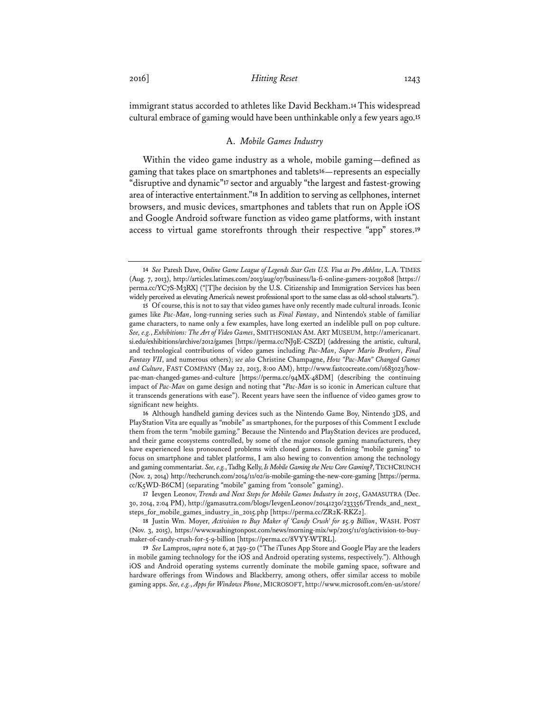immigrant status accorded to athletes like David Beckham.**<sup>14</sup>** This widespread cultural embrace of gaming would have been unthinkable only a few years ago.**<sup>15</sup>**

### A. *Mobile Games Industry*

Within the video game industry as a whole, mobile gaming—defined as gaming that takes place on smartphones and tablets**<sup>16</sup>**—represents an especially "disruptive and dynamic"**<sup>17</sup>** sector and arguably "the largest and fastest-growing area of interactive entertainment."**<sup>18</sup>** In addition to serving as cellphones, internet browsers, and music devices, smartphones and tablets that run on Apple iOS and Google Android software function as video game platforms, with instant access to virtual game storefronts through their respective "app" stores.**<sup>19</sup>**

**16** Although handheld gaming devices such as the Nintendo Game Boy, Nintendo 3DS, and PlayStation Vita are equally as "mobile" as smartphones, for the purposes of this Comment I exclude them from the term "mobile gaming." Because the Nintendo and PlayStation devices are produced, and their game ecosystems controlled, by some of the major console gaming manufacturers, they have experienced less pronounced problems with cloned games. In defining "mobile gaming" to focus on smartphone and tablet platforms, I am also hewing to convention among the technology and gaming commentariat. *See, e.g.*, Tadhg Kelly, *Is Mobile Gaming the New Core Gaming?*, TECHCRUNCH (Nov. 2, 2014) http://techcrunch.com/2014/11/02/is-mobile-gaming-the-new-core-gaming [https://perma. cc/K5WD-B6CM] (separating "mobile" gaming from "console" gaming).

**17** Ievgen Leonov, *Trends and Next Steps for Mobile Games Industry in 2015*, GAMASUTRA (Dec. 30, 2014, 2:04 PM), http://gamasutra.com/blogs/IevgenLeonov/20141230/233356/Trends\_and\_next\_ steps\_for\_mobile\_games\_industry\_in\_2015.php [https://perma.cc/ZR2K-RKZ2].

**18** Justin Wm. Moyer, *Activision to Buy Maker of 'Candy Crush' for \$5.9 Billion*, WASH. POST (Nov. 3, 2015), https://www.washingtonpost.com/news/morning-mix/wp/2015/11/03/activision-to-buymaker-of-candy-crush-for-5-9-billion [https://perma.cc/8VYY-WTRL].

**19** *See* Lampros, *supra* note 6, at 749-50 ("The iTunes App Store and Google Play are the leaders in mobile gaming technology for the iOS and Android operating systems, respectively."). Although iOS and Android operating systems currently dominate the mobile gaming space, software and hardware offerings from Windows and Blackberry, among others, offer similar access to mobile gaming apps. *See, e.g.*, *Apps for Windows Phone*, MICROSOFT, http://www.microsoft.com/en-us/store/

**<sup>14</sup>** *See* Paresh Dave, *Online Game League of Legends Star Gets U.S. Visa as Pro Athlete*, L.A. TIMES (Aug. 7, 2013), http://articles.latimes.com/2013/aug/07/business/la-fi-online-gamers-20130808 [https:// perma.cc/YC7S-M3RX] ("[T]he decision by the U.S. Citizenship and Immigration Services has been widely perceived as elevating America's newest professional sport to the same class as old-school stalwarts.").

**<sup>15</sup>** Of course, this is not to say that video games have only recently made cultural inroads. Iconic games like *Pac-Man*, long-running series such as *Final Fantasy*, and Nintendo's stable of familiar game characters, to name only a few examples, have long exerted an indelible pull on pop culture. *See, e.g.*, *Exhibitions: The Art of Video Games*, SMITHSONIAN AM. ART MUSEUM, http://americanart. si.edu/exhibitions/archive/2012/games [https://perma.cc/NJ9E-CSZD] (addressing the artistic, cultural, and technological contributions of video games including *Pac-Man*, *Super Mario Brothers*, *Final Fantasy VII*, and numerous others); *see also* Christine Champagne, *How "Pac-Man" Changed Games and Culture*, FAST COMPANY (May 22, 2013, 8:00 AM), http://www.fastcocreate.com/1683023/howpac-man-changed-games-and-culture [https://perma.cc/94MX-48DM] (describing the continuing impact of *Pac-Man* on game design and noting that "*Pac-Man* is so iconic in American culture that it transcends generations with ease"). Recent years have seen the influence of video games grow to significant new heights.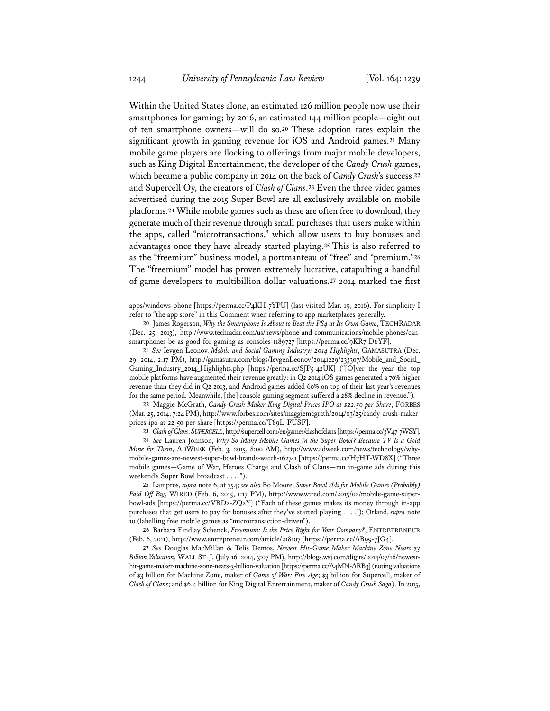Within the United States alone, an estimated 126 million people now use their smartphones for gaming; by 2016, an estimated 144 million people—eight out of ten smartphone owners—will do so.**<sup>20</sup>** These adoption rates explain the significant growth in gaming revenue for iOS and Android games.**<sup>21</sup>** Many mobile game players are flocking to offerings from major mobile developers, such as King Digital Entertainment, the developer of the *Candy Crush* games, which became a public company in 2014 on the back of *Candy Crush*'s success,**<sup>22</sup>** and Supercell Oy, the creators of *Clash of Clans*.**<sup>23</sup>** Even the three video games advertised during the 2015 Super Bowl are all exclusively available on mobile platforms.**<sup>24</sup>** While mobile games such as these are often free to download, they generate much of their revenue through small purchases that users make within the apps, called "microtransactions," which allow users to buy bonuses and advantages once they have already started playing.**<sup>25</sup>** This is also referred to as the "freemium" business model, a portmanteau of "free" and "premium."**<sup>26</sup>** The "freemium" model has proven extremely lucrative, catapulting a handful of game developers to multibillion dollar valuations.**<sup>27</sup>** 2014 marked the first

apps/windows-phone [https://perma.cc/P4KH-7YPU] (last visited Mar. 19, 2016). For simplicity I refer to "the app store" in this Comment when referring to app marketplaces generally.

**21** *See* Ievgen Leonov, *Mobile and Social Gaming Industry: 2014 Highlights*, GAMASUTRA (Dec. 29, 2014, 2:17 PM), http://gamasutra.com/blogs/IevgenLeonov/20141229/233307/Mobile\_and\_Social\_ Gaming\_Industry\_2014\_Highlights.php [https://perma.cc/SJP5-42UK] ("[O]ver the year the top mobile platforms have augmented their revenue greatly: in Q2 2014 iOS games generated a 70% higher revenue than they did in Q2 2013, and Android games added 60% on top of their last year's revenues for the same period. Meanwhile, [the] console gaming segment suffered a 28% decline in revenue.").

**22** Maggie McGrath, *Candy Crush Maker King Digital Prices IPO at \$22.50 per Share*, FORBES (Mar. 25, 2014, 7:24 PM), http://www.forbes.com/sites/maggiemcgrath/2014/03/25/candy-crush-makerprices-ipo-at-22-50-per-share [https://perma.cc/T89L-FUSF].

**23** *Clash of Clans*, *SUPERCELL*, http://supercell.com/en/games/clashofclans [https://perma.cc/3V47-7WSY].

**24** *See* Lauren Johnson, *Why So Many Mobile Games in the Super Bowl? Because TV Is a Gold Mine for Them*, ADWEEK (Feb. 3, 2015, 8:00 AM), http://www.adweek.com/news/technology/whymobile-games-are-newest-super-bowl-brands-watch-162741 [https://perma.cc/H7HT-WD8X] ("Three mobile games—Game of War, Heroes Charge and Clash of Clans—ran in-game ads during this weekend's Super Bowl broadcast . . . .").

**25** Lampros, *supra* note 6, at 754; *see also* Bo Moore, *Super Bowl Ads for Mobile Games (Probably) Paid Off Big*, WIRED (Feb. 6, 2015, 1:17 PM), http://www.wired.com/2015/02/mobile-game-superbowl-ads [https://perma.cc/VRD2-ZQ2Y] ("Each of these games makes its money through in-app purchases that get users to pay for bonuses after they've started playing . . . ."); Orland, *supra* note 10 (labelling free mobile games as "microtransaction-driven").

**26** Barbara Findlay Schenck, *Freemium: Is the Price Right for Your Company?*, ENTREPRENEUR (Feb. 6, 2011), http://www.entrepreneur.com/article/218107 [https://perma.cc/AB99-7JG4].

**27** *See* Douglas MacMillan & Telis Demos, *Newest Hit-Game Maker Machine Zone Nears \$3 Billion Valuation*, WALL ST. J. (July 16, 2014, 3:07 PM), http://blogs.wsj.com/digits/2014/07/16/newesthit-game-maker-machine-zone-nears-3-billion-valuation [https://perma.cc/A4MN-ARB3] (noting valuations of \$3 billion for Machine Zone, maker of *Game of War: Fire Age*; \$3 billion for Supercell, maker of *Clash of Clans*; and \$6.4 billion for King Digital Entertainment, maker of *Candy Crush Saga*). In 2015,

**<sup>20</sup>** James Rogerson, *Why the Smartphone Is About to Beat the PS4 at Its Own Game*, TECHRADAR (Dec. 25, 2013), http://www.techradar.com/us/news/phone-and-communications/mobile-phones/cansmartphones-be-as-good-for-gaming-as-consoles-1189727 [https://perma.cc/9KR7-D6YF].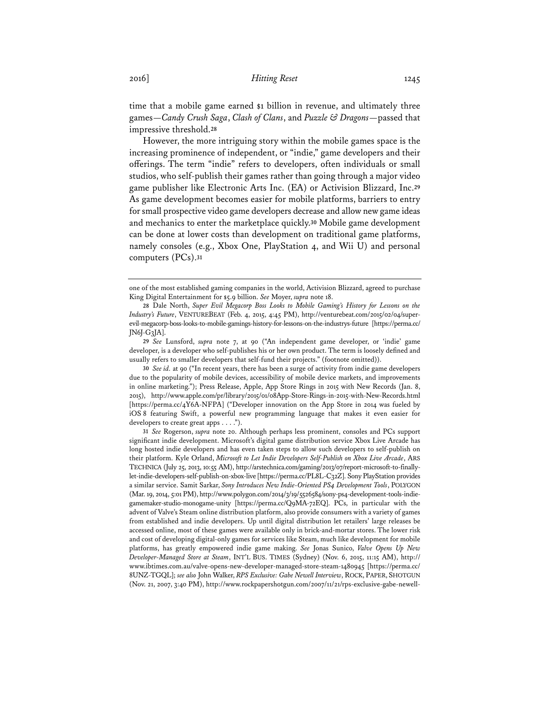time that a mobile game earned \$1 billion in revenue, and ultimately three games—*Candy Crush Saga*, *Clash of Clans*, and *Puzzle & Dragons*—passed that impressive threshold.**<sup>28</sup>**

However, the more intriguing story within the mobile games space is the increasing prominence of independent, or "indie," game developers and their offerings. The term "indie" refers to developers, often individuals or small studios, who self-publish their games rather than going through a major video game publisher like Electronic Arts Inc. (EA) or Activision Blizzard, Inc.**<sup>29</sup>** As game development becomes easier for mobile platforms, barriers to entry for small prospective video game developers decrease and allow new game ideas and mechanics to enter the marketplace quickly.**<sup>30</sup>** Mobile game development can be done at lower costs than development on traditional game platforms, namely consoles (e.g., Xbox One, PlayStation 4, and Wii U) and personal computers (PCs).**<sup>31</sup>**

**30** *See id.* at 90 ("In recent years, there has been a surge of activity from indie game developers due to the popularity of mobile devices, accessibility of mobile device markets, and improvements in online marketing."); Press Release, Apple, App Store Rings in 2015 with New Records (Jan. 8, 2015), http://www.apple.com/pr/library/2015/01/08App-Store-Rings-in-2015-with-New-Records.html [https://perma.cc/4Y6A-NFPA] ("Developer innovation on the App Store in 2014 was fueled by iOS 8 featuring Swift, a powerful new programming language that makes it even easier for developers to create great apps . . . .").

**31** *See* Rogerson, *supra* note 20. Although perhaps less prominent, consoles and PCs support significant indie development. Microsoft's digital game distribution service Xbox Live Arcade has long hosted indie developers and has even taken steps to allow such developers to self-publish on their platform. Kyle Orland, *Microsoft to Let Indie Developers Self-Publish on Xbox Live Arcade*, ARS TECHNICA (July 25, 2013, 10:55 AM), http://arstechnica.com/gaming/2013/07/report-microsoft-to-finallylet-indie-developers-self-publish-on-xbox-live [https://perma.cc/PL8L-C32Z]. Sony PlayStation provides a similar service. Samit Sarkar, *Sony Introduces New Indie-Oriented PS4 Development Tools*, POLYGON (Mar. 19, 2014, 5:01 PM), http://www.polygon.com/2014/3/19/5526584/sony-ps4-development-tools-indiegamemaker-studio-monogame-unity [https://perma.cc/Q9MA-72EQ]. PCs, in particular with the advent of Valve's Steam online distribution platform, also provide consumers with a variety of games from established and indie developers. Up until digital distribution let retailers' large releases be accessed online, most of these games were available only in brick-and-mortar stores. The lower risk and cost of developing digital-only games for services like Steam, much like development for mobile platforms, has greatly empowered indie game making. *See* Jonas Sunico, *Valve Opens Up New Developer-Managed Store at Steam*, INT'L BUS. TIMES (Sydney) (Nov. 6, 2015, 11:15 AM), http:// www.ibtimes.com.au/valve-opens-new-developer-managed-store-steam-1480945 [https://perma.cc/ 8UNZ-TGQL]; *see also* John Walker, *RPS Exclusive: Gabe Newell Interview*, ROCK, PAPER, SHOTGUN (Nov. 21, 2007, 3:40 PM), http://www.rockpapershotgun.com/2007/11/21/rps-exclusive-gabe-newell-

one of the most established gaming companies in the world, Activision Blizzard, agreed to purchase King Digital Entertainment for \$5.9 billion. *See* Moyer, *supra* note 18.

**<sup>28</sup>** Dale North, *Super Evil Megacorp Boss Looks to Mobile Gaming's History for Lessons on the Industry's Future*, VENTUREBEAT (Feb. 4, 2015, 4:45 PM), http://venturebeat.com/2015/02/04/superevil-megacorp-boss-looks-to-mobile-gamings-history-for-lessons-on-the-industrys-future [https://perma.cc/ JN6J-G3JA].

**<sup>29</sup>** *See* Lunsford, *supra* note 7, at 90 ("An independent game developer, or 'indie' game developer, is a developer who self-publishes his or her own product. The term is loosely defined and usually refers to smaller developers that self-fund their projects." (footnote omitted)).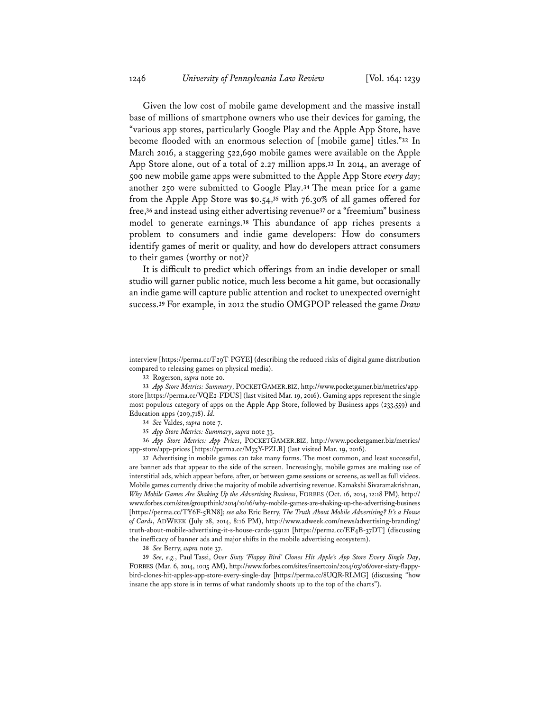Given the low cost of mobile game development and the massive install base of millions of smartphone owners who use their devices for gaming, the "various app stores, particularly Google Play and the Apple App Store, have become flooded with an enormous selection of [mobile game] titles."**<sup>32</sup>** In March 2016, a staggering 522,690 mobile games were available on the Apple App Store alone, out of a total of 2.27 million apps.**<sup>33</sup>** In 2014, an average of 500 new mobile game apps were submitted to the Apple App Store *every day*; another 250 were submitted to Google Play.**<sup>34</sup>** The mean price for a game from the Apple App Store was \$0.54,**<sup>35</sup>** with 76.30% of all games offered for free,**<sup>36</sup>** and instead using either advertising revenue**<sup>37</sup>** or a "freemium" business model to generate earnings.**<sup>38</sup>** This abundance of app riches presents a problem to consumers and indie game developers: How do consumers identify games of merit or quality, and how do developers attract consumers to their games (worthy or not)?

It is difficult to predict which offerings from an indie developer or small studio will garner public notice, much less become a hit game, but occasionally an indie game will capture public attention and rocket to unexpected overnight success.**<sup>39</sup>** For example, in 2012 the studio OMGPOP released the game *Draw* 

**32** Rogerson, *supra* note 20.

**34** *See* Valdes, *supra* note 7.

**35** *App Store Metrics: Summary*, *supra* note 33.

**36** *App Store Metrics: App Prices*, POCKETGAMER.BIZ, http://www.pocketgamer.biz/metrics/ app-store/app-prices [https://perma.cc/M75Y-PZLR] (last visited Mar. 19, 2016).

**37** Advertising in mobile games can take many forms. The most common, and least successful, are banner ads that appear to the side of the screen. Increasingly, mobile games are making use of interstitial ads, which appear before, after, or between game sessions or screens, as well as full videos. Mobile games currently drive the majority of mobile advertising revenue. Kamakshi Sivaramakrishnan, *Why Mobile Games Are Shaking Up the Advertising Business*, FORBES (Oct. 16, 2014, 12:18 PM), http:// www.forbes.com/sites/groupthink/2014/10/16/why-mobile-games-are-shaking-up-the-advertising-business [https://perma.cc/TY6F-5RN8]; *see also* Eric Berry, *The Truth About Mobile Advertising? It's a House of Cards*, ADWEEK (July 28, 2014, 8:16 PM), http://www.adweek.com/news/advertising-branding/ truth-about-mobile-advertising-it-s-house-cards-159121 [https://perma.cc/EF4B-37DT] (discussing the inefficacy of banner ads and major shifts in the mobile advertising ecosystem).

**38** *See* Berry, *supra* note 37.

**39** *See, e.g.*, Paul Tassi, *Over Sixty 'Flappy Bird' Clones Hit Apple's App Store Every Single Day*, FORBES (Mar. 6, 2014, 10:15 AM), http://www.forbes.com/sites/insertcoin/2014/03/06/over-sixty-flappybird-clones-hit-apples-app-store-every-single-day [https://perma.cc/8UQR-RLMG] (discussing "how insane the app store is in terms of what randomly shoots up to the top of the charts").

interview [https://perma.cc/F29T-PGYE] (describing the reduced risks of digital game distribution compared to releasing games on physical media).

**<sup>33</sup>** *App Store Metrics: Summary*, POCKETGAMER.BIZ, http://www.pocketgamer.biz/metrics/appstore [https://perma.cc/VQE2-FDUS] (last visited Mar. 19, 2016). Gaming apps represent the single most populous category of apps on the Apple App Store, followed by Business apps (233,559) and Education apps (209,718). *Id.*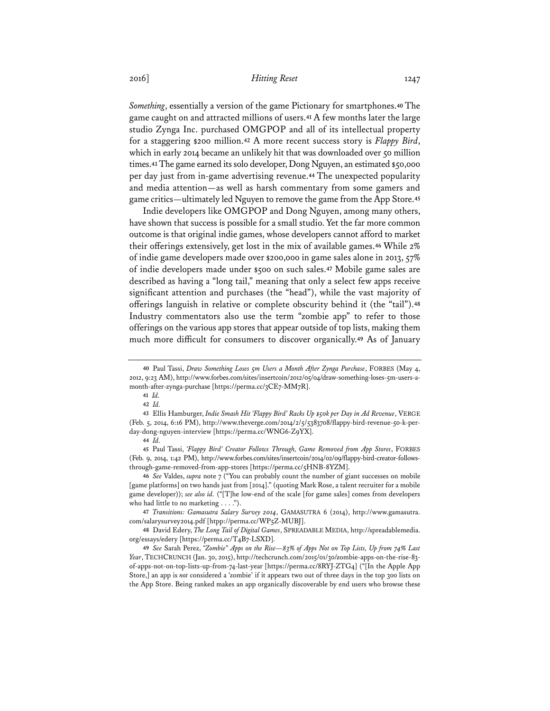*Something*, essentially a version of the game Pictionary for smartphones.**<sup>40</sup>** The game caught on and attracted millions of users.**<sup>41</sup>** A few months later the large studio Zynga Inc. purchased OMGPOP and all of its intellectual property for a staggering \$200 million.**<sup>42</sup>** A more recent success story is *Flappy Bird*, which in early 2014 became an unlikely hit that was downloaded over 50 million times.**<sup>43</sup>** The game earned its solo developer, Dong Nguyen, an estimated \$50,000 per day just from in-game advertising revenue.**<sup>44</sup>** The unexpected popularity and media attention—as well as harsh commentary from some gamers and game critics—ultimately led Nguyen to remove the game from the App Store.**<sup>45</sup>**

Indie developers like OMGPOP and Dong Nguyen, among many others, have shown that success is possible for a small studio. Yet the far more common outcome is that original indie games, whose developers cannot afford to market their offerings extensively, get lost in the mix of available games.**<sup>46</sup>** While 2% of indie game developers made over \$200,000 in game sales alone in 2013, 57% of indie developers made under \$500 on such sales.**<sup>47</sup>** Mobile game sales are described as having a "long tail," meaning that only a select few apps receive significant attention and purchases (the "head"), while the vast majority of offerings languish in relative or complete obscurity behind it (the "tail").**<sup>48</sup>** Industry commentators also use the term "zombie app" to refer to those offerings on the various app stores that appear outside of top lists, making them much more difficult for consumers to discover organically.**<sup>49</sup>** As of January

**45** Paul Tassi, *'Flappy Bird' Creator Follows Through, Game Removed from App Stores*, FORBES (Feb. 9, 2014, 1:42 PM), http://www.forbes.com/sites/insertcoin/2014/02/09/flappy-bird-creator-followsthrough-game-removed-from-app-stores [https://perma.cc/5HNB-8YZM].

**46** *See* Valdes, *supra* note 7 ("You can probably count the number of giant successes on mobile [game platforms] on two hands just from [2014]." (quoting Mark Rose, a talent recruiter for a mobile game developer)); *see also id.* ("[T]he low-end of the scale [for game sales] comes from developers who had little to no marketing . . . .").

**47** *Transitions: Gamasutra Salary Survey 2014*, GAMASUTRA 6 (2014), http://www.gamasutra. com/salarysurvey2014.pdf [htpp://perma.cc/WP5Z-MUBJ].

**48** David Edery, *The Long Tail of Digital Games*, SPREADABLE MEDIA, http://spreadablemedia. org/essays/edery [https://perma.cc/T4B7-LSXD].

**49** *See* Sarah Perez, *"Zombie" Apps on the Rise—83% of Apps Not on Top Lists, Up from 74% Last Year*, TECHCRUNCH (Jan. 30, 2015), http://techcrunch.com/2015/01/30/zombie-apps-on-the-rise-83 of-apps-not-on-top-lists-up-from-74-last-year [https://perma.cc/8RYJ-ZTG4] ("[In the Apple App Store,] an app is *not* considered a 'zombie' if it appears two out of three days in the top 300 lists on the App Store. Being ranked makes an app organically discoverable by end users who browse these

**<sup>40</sup>** Paul Tassi, *Draw Something Loses 5m Users a Month After Zynga Purchase*, FORBES (May 4, 2012, 9:23 AM), http://www.forbes.com/sites/insertcoin/2012/05/04/draw-something-loses-5m-users-amonth-after-zynga-purchase [https://perma.cc/3CE7-MM7R].

**<sup>41</sup>** *Id.*

**<sup>42</sup>** *Id.*

**<sup>43</sup>** Ellis Hamburger, *Indie Smash Hit 'Flappy Bird' Racks Up \$50k per Day in Ad Revenue*, VERGE (Feb. 5, 2014, 6:16 PM), http://www.theverge.com/2014/2/5/5383708/flappy-bird-revenue-50-k-perday-dong-nguyen-interview [https://perma.cc/WNG6-Z9YX].

**<sup>44</sup>** *Id.*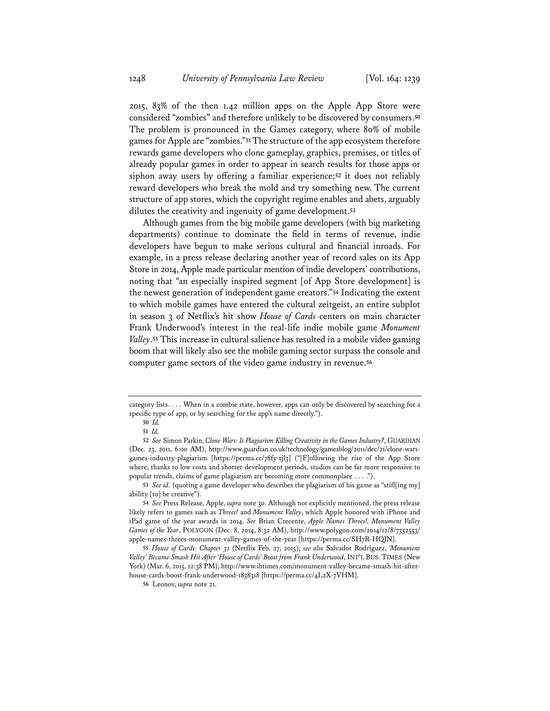2015, 83% of the then 1.42 million apps on the Apple App Store were considered "zombies" and therefore unlikely to be discovered by consumers.**<sup>50</sup>** The problem is pronounced in the Games category, where 80% of mobile games for Apple are "zombies."**<sup>51</sup>** The structure of the app ecosystem therefore rewards game developers who clone gameplay, graphics, premises, or titles of already popular games in order to appear in search results for those apps or siphon away users by offering a familiar experience;**<sup>52</sup>** it does not reliably reward developers who break the mold and try something new. The current structure of app stores, which the copyright regime enables and abets, arguably dilutes the creativity and ingenuity of game development.**<sup>53</sup>**

Although games from the big mobile game developers (with big marketing departments) continue to dominate the field in terms of revenue, indie developers have begun to make serious cultural and financial inroads. For example, in a press release declaring another year of record sales on its App Store in 2014, Apple made particular mention of indie developers' contributions, noting that "an especially inspired segment [of App Store development] is the newest generation of independent game creators."**<sup>54</sup>** Indicating the extent to which mobile games have entered the cultural zeitgeist, an entire subplot in season 3 of Netflix's hit show *House of Cards* centers on main character Frank Underwood's interest in the real-life indie mobile game *Monument Valley*.**<sup>55</sup>** This increase in cultural salience has resulted in a mobile video gaming boom that will likely also see the mobile gaming sector surpass the console and computer game sectors of the video game industry in revenue.**<sup>56</sup>**

category lists. . . . When in a zombie state, however, apps can only be discovered by searching for a specific type of app, or by searching for the app's name directly.").

**<sup>50</sup>** *Id.* 

**<sup>51</sup>** *Id.*

**<sup>52</sup>** *See* Simon Parkin, *Clone Wars: Is Plagiarism Killing Creativity in the Games Industry?*, GUARDIAN (Dec. 23, 2011, 6:00 AM), http://www.guardian.co.uk/technology/gamesblog/2011/dec/21/clone-warsgames-industry-plagiarism [https://perma.cc/78fy-tjl3] ("[F]ollowing the rise of the App Store where, thanks to low costs and shorter development periods, studios can be far more responsive to popular trends, claims of game plagiarism are becoming more commonplace . . . .").

**<sup>53</sup>** *See id.* (quoting a game developer who describes the plagiarism of his game as "stifl[ing my] ability [to] be creative").

**<sup>54</sup>** *See* Press Release, Apple, *supra* note 30. Although not explicitly mentioned, the press release likely refers to games such as *Threes!* and *Monument Valley*, which Apple honored with iPhone and iPad game of the year awards in 2014. *See* Brian Crecente, *Apple Names Threes!, Monument Valley Games of the Year*, POLYGON (Dec. 8, 2014, 8:32 AM), http://www.polygon.com/2014/12/8/7352553/ apple-names-threes-monument-valley-games-of-the-year [https://perma.cc/SH7R-HQJN].

**<sup>55</sup>** *House of Cards: Chapter 31* (Netflix Feb. 27, 2015); *see also* Salvador Rodriguez, *'Monument Valley' Became Smash Hit After 'House of Cards' Boost from Frank Underwood*, INT'L BUS. TIMES (New York) (Mar. 6, 2015, 12:38 PM), http://www.ibtimes.com/monument-valley-became-smash-hit-afterhouse-cards-boost-frank-underwood-1838318 [https://perma.cc/4L2X-7VHM].

**<sup>56</sup>** Leonov, *supra* note 21.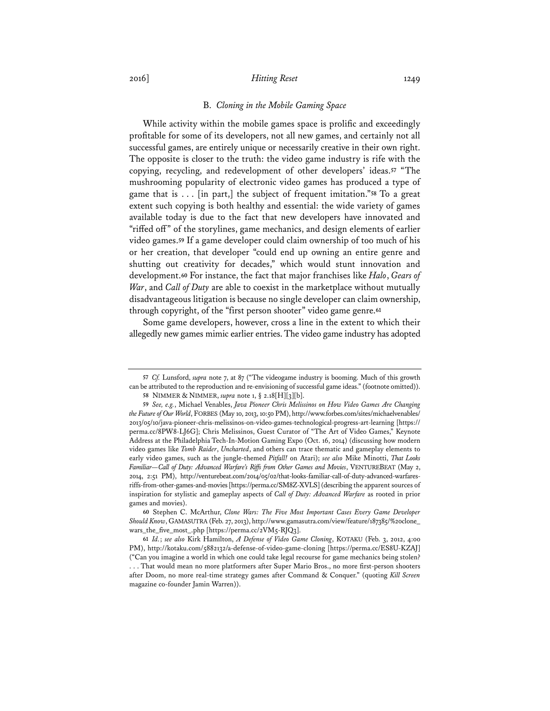#### B. *Cloning in the Mobile Gaming Space*

While activity within the mobile games space is prolific and exceedingly profitable for some of its developers, not all new games, and certainly not all successful games, are entirely unique or necessarily creative in their own right. The opposite is closer to the truth: the video game industry is rife with the copying, recycling, and redevelopment of other developers' ideas.**<sup>57</sup>** "The mushrooming popularity of electronic video games has produced a type of game that is . . . [in part,] the subject of frequent imitation."**<sup>58</sup>** To a great extent such copying is both healthy and essential: the wide variety of games available today is due to the fact that new developers have innovated and "riffed off" of the storylines, game mechanics, and design elements of earlier video games.**<sup>59</sup>** If a game developer could claim ownership of too much of his or her creation, that developer "could end up owning an entire genre and shutting out creativity for decades," which would stunt innovation and development.**<sup>60</sup>** For instance, the fact that major franchises like *Halo*, *Gears of War*, and *Call of Duty* are able to coexist in the marketplace without mutually disadvantageous litigation is because no single developer can claim ownership, through copyright, of the "first person shooter" video game genre.**<sup>61</sup>**

Some game developers, however, cross a line in the extent to which their allegedly new games mimic earlier entries. The video game industry has adopted

**<sup>57</sup>** *Cf.* Lunsford, *supra* note 7, at 87 ("The videogame industry is booming. Much of this growth can be attributed to the reproduction and re-envisioning of successful game ideas." (footnote omitted)).

**<sup>58</sup>** NIMMER & NIMMER, *supra* note 1, § 2.18[H][3][b].

**<sup>59</sup>** *See, e.g.*, Michael Venables, *Java Pioneer Chris Melissinos on How Video Games Are Changing the Future of Our World*, FORBES (May 10, 2013, 10:50 PM), http://www.forbes.com/sites/michaelvenables/ 2013/05/10/java-pioneer-chris-melissinos-on-video-games-technological-progress-art-learning [https:// perma.cc/8PW8-LJ6G]; Chris Melissinos, Guest Curator of "The Art of Video Games," Keynote Address at the Philadelphia Tech-In-Motion Gaming Expo (Oct. 16, 2014) (discussing how modern video games like *Tomb Raider*, *Uncharted*, and others can trace thematic and gameplay elements to early video games, such as the jungle-themed *Pitfall!* on Atari); *see also* Mike Minotti, *That Looks Familiar—Call of Duty: Advanced Warfare's Riffs from Other Games and Movies*, VENTUREBEAT (May 2, 2014, 2:51 PM), http://venturebeat.com/2014/05/02/that-looks-familiar-call-of-duty-advanced-warfaresriffs-from-other-games-and-movies [https://perma.cc/SM8Z-XVLS] (describing the apparent sources of inspiration for stylistic and gameplay aspects of *Call of Duty: Advanced Warfare* as rooted in prior games and movies).

**<sup>60</sup>** Stephen C. McArthur, *Clone Wars: The Five Most Important Cases Every Game Developer Should Know*, GAMASUTRA (Feb. 27, 2013), http://www.gamasutra.com/view/feature/187385/%20clone\_ wars\_the\_five\_most\_.php [https://perma.cc/2VM5-RJQ3].

**<sup>61</sup>** *Id.*; *see also* Kirk Hamilton, *A Defense of Video Game Cloning*, KOTAKU (Feb. 3, 2012, 4:00 PM), http://kotaku.com/5882132/a-defense-of-video-game-cloning [https://perma.cc/ES8U-KZAJ] ("Can you imagine a world in which one could take legal recourse for game mechanics being stolen? . . . That would mean no more platformers after Super Mario Bros., no more first-person shooters after Doom, no more real-time strategy games after Command & Conquer." (quoting *Kill Screen* magazine co-founder Jamin Warren)).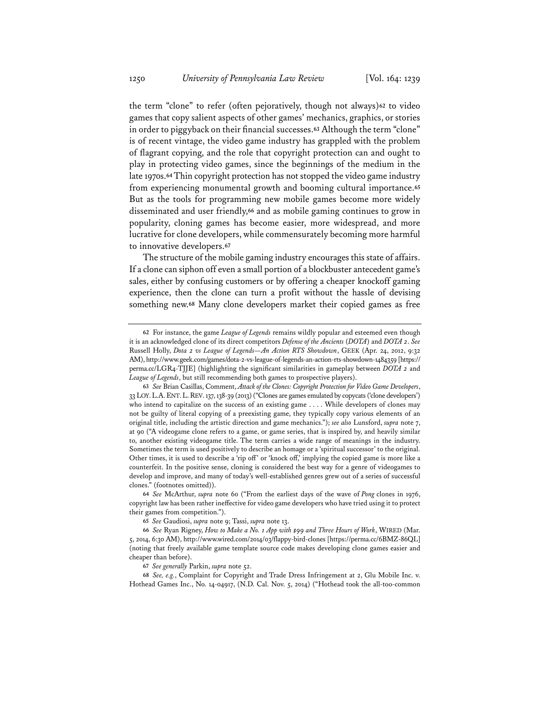the term "clone" to refer (often pejoratively, though not always)**<sup>62</sup>** to video games that copy salient aspects of other games' mechanics, graphics, or stories in order to piggyback on their financial successes.**<sup>63</sup>** Although the term "clone" is of recent vintage, the video game industry has grappled with the problem of flagrant copying, and the role that copyright protection can and ought to play in protecting video games, since the beginnings of the medium in the late 1970s.**<sup>64</sup>** Thin copyright protection has not stopped the video game industry from experiencing monumental growth and booming cultural importance.**<sup>65</sup>** But as the tools for programming new mobile games become more widely disseminated and user friendly,**<sup>66</sup>** and as mobile gaming continues to grow in popularity, cloning games has become easier, more widespread, and more lucrative for clone developers, while commensurately becoming more harmful to innovative developers.**<sup>67</sup>**

The structure of the mobile gaming industry encourages this state of affairs. If a clone can siphon off even a small portion of a blockbuster antecedent game's sales, either by confusing customers or by offering a cheaper knockoff gaming experience, then the clone can turn a profit without the hassle of devising something new.**<sup>68</sup>** Many clone developers market their copied games as free

**67** *See generally* Parkin, *supra* note 52.

**68** *See, e.g.*, Complaint for Copyright and Trade Dress Infringement at 2, Glu Mobile Inc. v. Hothead Games Inc., No. 14-04917, (N.D. Cal. Nov. 5, 2014) ("Hothead took the all-too-common

**<sup>62</sup>** For instance, the game *League of Legends* remains wildly popular and esteemed even though it is an acknowledged clone of its direct competitors *Defense of the Ancients* (*DOTA*) and *DOTA 2*. *See* Russell Holly, *Dota 2 vs League of Legends—An Action RTS Showdown*, GEEK (Apr. 24, 2012, 9:32 AM), http://www.geek.com/games/dota-2-vs-league-of-legends-an-action-rts-showdown-1484359 [https:// perma.cc/LGR4-TJJE] (highlighting the significant similarities in gameplay between *DOTA 2* and *League of Legends*, but still recommending both games to prospective players).

**<sup>63</sup>** *See* Brian Casillas, Comment, *Attack of the Clones: Copyright Protection for Video Game Developers*, 33 LOY.L.A.ENT.L.REV. 137, 138-39 (2013) ("Clones are games emulated by copycats ('clone developers') who intend to capitalize on the success of an existing game . . . . While developers of clones may not be guilty of literal copying of a preexisting game, they typically copy various elements of an original title, including the artistic direction and game mechanics."); *see also* Lunsford, *supra* note 7, at 90 ("A videogame clone refers to a game, or game series, that is inspired by, and heavily similar to, another existing videogame title. The term carries a wide range of meanings in the industry. Sometimes the term is used positively to describe an homage or a 'spiritual successor' to the original. Other times, it is used to describe a 'rip off' or 'knock off,' implying the copied game is more like a counterfeit. In the positive sense, cloning is considered the best way for a genre of videogames to develop and improve, and many of today's well-established genres grew out of a series of successful clones." (footnotes omitted)).

**<sup>64</sup>** *See* McArthur, *supra* note 60 ("From the earliest days of the wave of *Pong* clones in 1976, copyright law has been rather ineffective for video game developers who have tried using it to protect their games from competition.").

**<sup>65</sup>** *See* Gaudiosi, *supra* note 9; Tassi, *supra* note 13.

**<sup>66</sup>** *See* Ryan Rigney, *How to Make a No. 1 App with \$99 and Three Hours of Work*, WIRED (Mar. 5, 2014, 6:30 AM), http://www.wired.com/2014/03/flappy-bird-clones [https://perma.cc/6BMZ-86QL] (noting that freely available game template source code makes developing clone games easier and cheaper than before).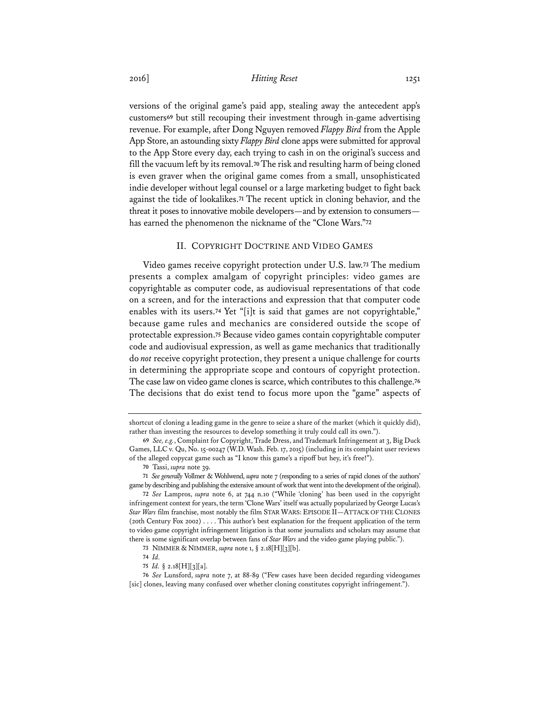versions of the original game's paid app, stealing away the antecedent app's customers**<sup>69</sup>** but still recouping their investment through in-game advertising revenue. For example, after Dong Nguyen removed *Flappy Bird* from the Apple App Store, an astounding sixty *Flappy Bird* clone apps were submitted for approval to the App Store every day, each trying to cash in on the original's success and fill the vacuum left by its removal.**<sup>70</sup>** The risk and resulting harm of being cloned is even graver when the original game comes from a small, unsophisticated indie developer without legal counsel or a large marketing budget to fight back against the tide of lookalikes.**<sup>71</sup>** The recent uptick in cloning behavior, and the threat it poses to innovative mobile developers—and by extension to consumers has earned the phenomenon the nickname of the "Clone Wars."**<sup>72</sup>**

### II. COPYRIGHT DOCTRINE AND VIDEO GAMES

Video games receive copyright protection under U.S. law.**<sup>73</sup>** The medium presents a complex amalgam of copyright principles: video games are copyrightable as computer code, as audiovisual representations of that code on a screen, and for the interactions and expression that that computer code enables with its users.**<sup>74</sup>** Yet "[i]t is said that games are not copyrightable," because game rules and mechanics are considered outside the scope of protectable expression.**<sup>75</sup>** Because video games contain copyrightable computer code and audiovisual expression, as well as game mechanics that traditionally do *not* receive copyright protection, they present a unique challenge for courts in determining the appropriate scope and contours of copyright protection. The case law on video game clones is scarce, which contributes to this challenge.**<sup>76</sup>** The decisions that do exist tend to focus more upon the "game" aspects of

**70** Tassi, *supra* note 39.

**71** *See generally* Vollmer & Wohlwend, *supra* note 7 (responding to a series of rapid clones of the authors' game by describing and publishing the extensive amount of work that went into the development of the original).

**72** *See* Lampros, *supra* note 6, at 744 n.10 ("While 'cloning' has been used in the copyright infringement context for years, the term 'Clone Wars' itself was actually popularized by George Lucas's *Star Wars* film franchise, most notably the film STAR WARS: EPISODE II—ATTACK OF THE CLONES (20th Century Fox 2002) . . . . This author's best explanation for the frequent application of the term to video game copyright infringement litigation is that some journalists and scholars may assume that there is some significant overlap between fans of *Star Wars* and the video game playing public.").

shortcut of cloning a leading game in the genre to seize a share of the market (which it quickly did), rather than investing the resources to develop something it truly could call its own.").

**<sup>69</sup>** *See, e.g.*, Complaint for Copyright, Trade Dress, and Trademark Infringement at 3, Big Duck Games, LLC v. Qu, No. 15-00247 (W.D. Wash. Feb. 17, 2015) (including in its complaint user reviews of the alleged copycat game such as "I know this game's a ripoff but hey, it's free!").

**<sup>73</sup>** NIMMER & NIMMER, *supra* note 1, § 2.18[H][3][b].

**<sup>74</sup>** *Id.* 

**<sup>75</sup>** *Id.* § 2.18[H][3][a].

**<sup>76</sup>** *See* Lunsford, *supra* note 7, at 88-89 ("Few cases have been decided regarding videogames [sic] clones, leaving many confused over whether cloning constitutes copyright infringement.").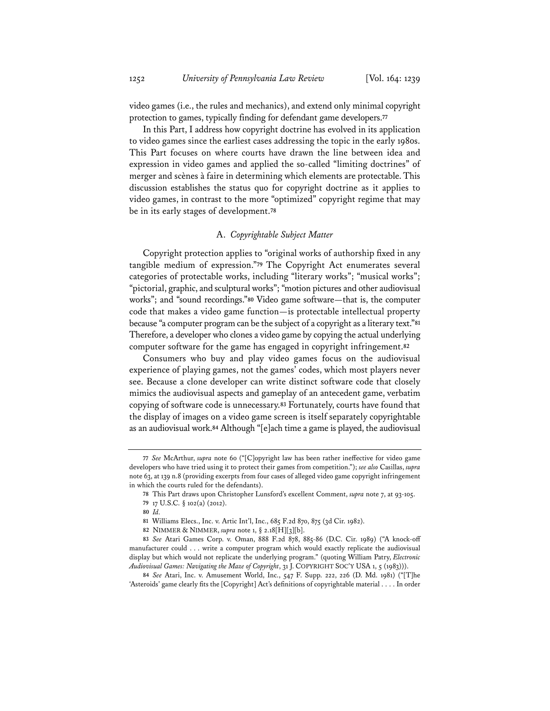video games (i.e., the rules and mechanics), and extend only minimal copyright protection to games, typically finding for defendant game developers.**<sup>77</sup>**

In this Part, I address how copyright doctrine has evolved in its application to video games since the earliest cases addressing the topic in the early 1980s. This Part focuses on where courts have drawn the line between idea and expression in video games and applied the so-called "limiting doctrines" of merger and scènes à faire in determining which elements are protectable. This discussion establishes the status quo for copyright doctrine as it applies to video games, in contrast to the more "optimized" copyright regime that may be in its early stages of development.**<sup>78</sup>**

### A. *Copyrightable Subject Matter*

Copyright protection applies to "original works of authorship fixed in any tangible medium of expression."**<sup>79</sup>** The Copyright Act enumerates several categories of protectable works, including "literary works"; "musical works"; "pictorial, graphic, and sculptural works"; "motion pictures and other audiovisual works"; and "sound recordings."**<sup>80</sup>** Video game software—that is, the computer code that makes a video game function—is protectable intellectual property because "a computer program can be the subject of a copyright as a literary text."**<sup>81</sup>** Therefore, a developer who clones a video game by copying the actual underlying computer software for the game has engaged in copyright infringement.**<sup>82</sup>**

Consumers who buy and play video games focus on the audiovisual experience of playing games, not the games' codes, which most players never see. Because a clone developer can write distinct software code that closely mimics the audiovisual aspects and gameplay of an antecedent game, verbatim copying of software code is unnecessary.**<sup>83</sup>** Fortunately, courts have found that the display of images on a video game screen is itself separately copyrightable as an audiovisual work.**<sup>84</sup>** Although "[e]ach time a game is played, the audiovisual

**<sup>77</sup>** *See* McArthur, *supra* note 60 ("[C]opyright law has been rather ineffective for video game developers who have tried using it to protect their games from competition."); *see also* Casillas, *supra* note 63, at 139 n.8 (providing excerpts from four cases of alleged video game copyright infringement in which the courts ruled for the defendants).

**<sup>78</sup>** This Part draws upon Christopher Lunsford's excellent Comment, *supra* note 7, at 93-105. **79** 17 U.S.C. § 102(a) (2012).

**<sup>80</sup>** *Id.*

**<sup>81</sup>** Williams Elecs., Inc. v. Artic Int'l, Inc., 685 F.2d 870, 875 (3d Cir. 1982).

**<sup>82</sup>** NIMMER & NIMMER, *supra* note 1, § 2.18[H][3][b].

**<sup>83</sup>** *See* Atari Games Corp. v. Oman, 888 F.2d 878, 885-86 (D.C. Cir. 1989) ("A knock-off manufacturer could . . . write a computer program which would exactly replicate the audiovisual display but which would not replicate the underlying program." (quoting William Patry, *Electronic Audiovisual Games: Navigating the Maze of Copyright*, 31 J. COPYRIGHT SOC'Y USA 1, 5 (1983))).

**<sup>84</sup>** *See* Atari, Inc. v. Amusement World, Inc., 547 F. Supp. 222, 226 (D. Md. 1981) ("[T]he 'Asteroids' game clearly fits the [Copyright] Act's definitions of copyrightable material . . . . In order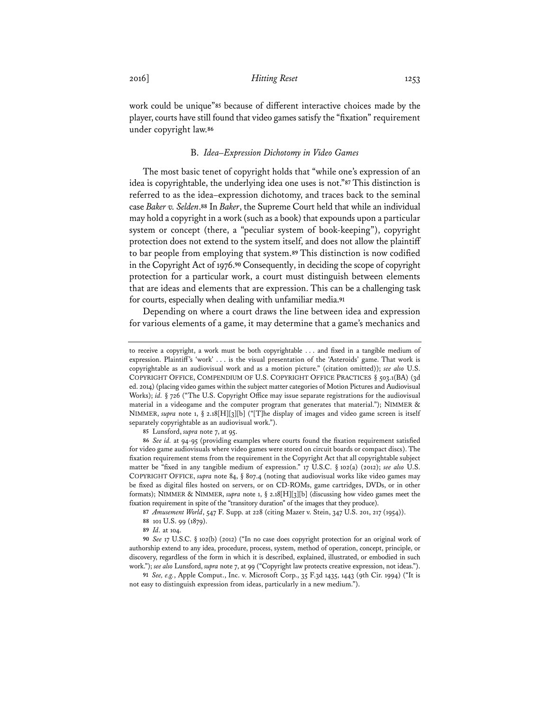work could be unique"**<sup>85</sup>** because of different interactive choices made by the player, courts have still found that video games satisfy the "fixation" requirement under copyright law.**<sup>86</sup>**

### B. *Idea–Expression Dichotomy in Video Games*

The most basic tenet of copyright holds that "while one's expression of an idea is copyrightable, the underlying idea one uses is not."**<sup>87</sup>** This distinction is referred to as the idea–expression dichotomy, and traces back to the seminal case *Baker v. Selden*.**<sup>88</sup>** In *Baker*, the Supreme Court held that while an individual may hold a copyright in a work (such as a book) that expounds upon a particular system or concept (there, a "peculiar system of book-keeping"), copyright protection does not extend to the system itself, and does not allow the plaintiff to bar people from employing that system.**<sup>89</sup>** This distinction is now codified in the Copyright Act of 1976.**<sup>90</sup>** Consequently, in deciding the scope of copyright protection for a particular work, a court must distinguish between elements that are ideas and elements that are expression. This can be a challenging task for courts, especially when dealing with unfamiliar media.**<sup>91</sup>**

Depending on where a court draws the line between idea and expression for various elements of a game, it may determine that a game's mechanics and

**85** Lunsford, *supra* note 7, at 95.

**87** *Amusement World*, 547 F. Supp. at 228 (citing Mazer v. Stein, 347 U.S. 201, 217 (1954)).

**90** *See* 17 U.S.C. § 102(b) (2012) ("In no case does copyright protection for an original work of authorship extend to any idea, procedure, process, system, method of operation, concept, principle, or discovery, regardless of the form in which it is described, explained, illustrated, or embodied in such work."); *see also* Lunsford, *supra* note 7, at 99 ("Copyright law protects creative expression, not ideas.").

**91** *See, e.g.*, Apple Comput., Inc. v. Microsoft Corp., 35 F.3d 1435, 1443 (9th Cir. 1994) ("It is not easy to distinguish expression from ideas, particularly in a new medium.").

to receive a copyright, a work must be both copyrightable . . . and fixed in a tangible medium of expression. Plaintiff's 'work' . . . is the visual presentation of the 'Asteroids' game. That work is copyrightable as an audiovisual work and as a motion picture." (citation omitted)); *see also* U.S. COPYRIGHT OFFICE, COMPENDIUM OF U.S. COPYRIGHT OFFICE PRACTICES § 503.1(BA) (3d ed. 2014) (placing video games within the subject matter categories of Motion Pictures and Audiovisual Works); *id.* § 726 ("The U.S. Copyright Office may issue separate registrations for the audiovisual material in a videogame and the computer program that generates that material."); NIMMER & NIMMER, *supra* note 1, § 2.18[H][3][b] ("[T]he display of images and video game screen is itself separately copyrightable as an audiovisual work.").

**<sup>86</sup>** *See id.* at 94-95 (providing examples where courts found the fixation requirement satisfied for video game audiovisuals where video games were stored on circuit boards or compact discs). The fixation requirement stems from the requirement in the Copyright Act that all copyrightable subject matter be "fixed in any tangible medium of expression." 17 U.S.C. § 102(a) (2012); *see also* U.S. COPYRIGHT OFFICE, *supra* note 84, § 807.4 (noting that audiovisual works like video games may be fixed as digital files hosted on servers, or on CD-ROMs, game cartridges, DVDs, or in other formats); NIMMER & NIMMER, *supra* note 1, § 2.18[H][3][b] (discussing how video games meet the fixation requirement in spite of the "transitory duration" of the images that they produce).

**<sup>88</sup>** 101 U.S. 99 (1879).

**<sup>89</sup>** *Id.* at 104.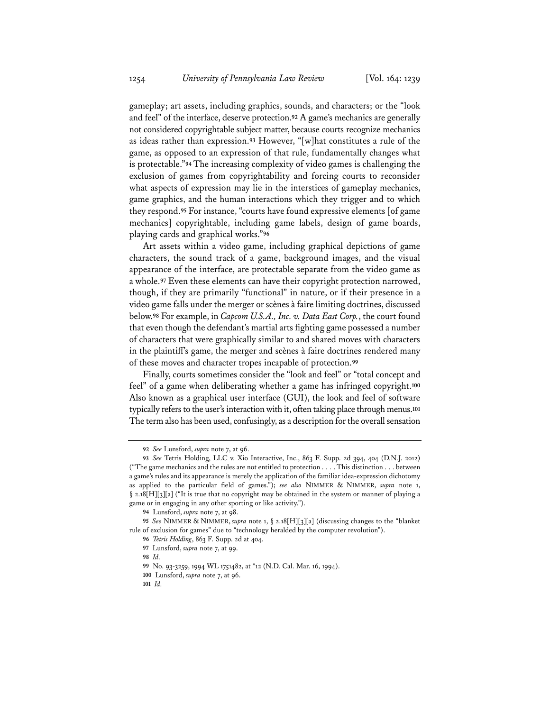gameplay; art assets, including graphics, sounds, and characters; or the "look and feel" of the interface, deserve protection.**<sup>92</sup>** A game's mechanics are generally not considered copyrightable subject matter, because courts recognize mechanics as ideas rather than expression.**<sup>93</sup>** However, "[w]hat constitutes a rule of the game, as opposed to an expression of that rule, fundamentally changes what is protectable."**<sup>94</sup>** The increasing complexity of video games is challenging the exclusion of games from copyrightability and forcing courts to reconsider what aspects of expression may lie in the interstices of gameplay mechanics, game graphics, and the human interactions which they trigger and to which they respond.**<sup>95</sup>** For instance, "courts have found expressive elements [of game mechanics] copyrightable, including game labels, design of game boards, playing cards and graphical works."**<sup>96</sup>**

Art assets within a video game, including graphical depictions of game characters, the sound track of a game, background images, and the visual appearance of the interface, are protectable separate from the video game as a whole.**<sup>97</sup>** Even these elements can have their copyright protection narrowed, though, if they are primarily "functional" in nature, or if their presence in a video game falls under the merger or scènes à faire limiting doctrines, discussed below.**<sup>98</sup>** For example, in *Capcom U.S.A., Inc. v. Data East Corp.*, the court found that even though the defendant's martial arts fighting game possessed a number of characters that were graphically similar to and shared moves with characters in the plaintiff's game, the merger and scènes à faire doctrines rendered many of these moves and character tropes incapable of protection.**<sup>99</sup>**

Finally, courts sometimes consider the "look and feel" or "total concept and feel" of a game when deliberating whether a game has infringed copyright.**<sup>100</sup>** Also known as a graphical user interface (GUI), the look and feel of software typically refers to the user's interaction with it, often taking place through menus.**<sup>101</sup>** The term also has been used, confusingly, as a description for the overall sensation

**<sup>92</sup>** *See* Lunsford, *supra* note 7, at 96.

**<sup>93</sup>** *See* Tetris Holding, LLC v. Xio Interactive, Inc., 863 F. Supp. 2d 394, 404 (D.N.J. 2012) ("The game mechanics and the rules are not entitled to protection . . . . This distinction . . . between a game's rules and its appearance is merely the application of the familiar idea-expression dichotomy as applied to the particular field of games."); *see also* NIMMER & NIMMER, *supra* note 1, § 2.18[H][3][a] ("It is true that no copyright may be obtained in the system or manner of playing a game or in engaging in any other sporting or like activity.").

**<sup>94</sup>** Lunsford, *supra* note 7, at 98.

**<sup>95</sup>** *See* NIMMER & NIMMER, *supra* note 1, § 2.18[H][3][a] (discussing changes to the "blanket rule of exclusion for games" due to "technology heralded by the computer revolution").

**<sup>96</sup>** *Tetris Holding*, 863 F. Supp. 2d at 404.

**<sup>97</sup>** Lunsford, *supra* note 7, at 99.

**<sup>98</sup>** *Id.* 

**<sup>99</sup>** No. 93-3259, 1994 WL 1751482, at \*12 (N.D. Cal. Mar. 16, 1994).

**<sup>100</sup>** Lunsford, *supra* note 7, at 96.

**<sup>101</sup>** *Id.*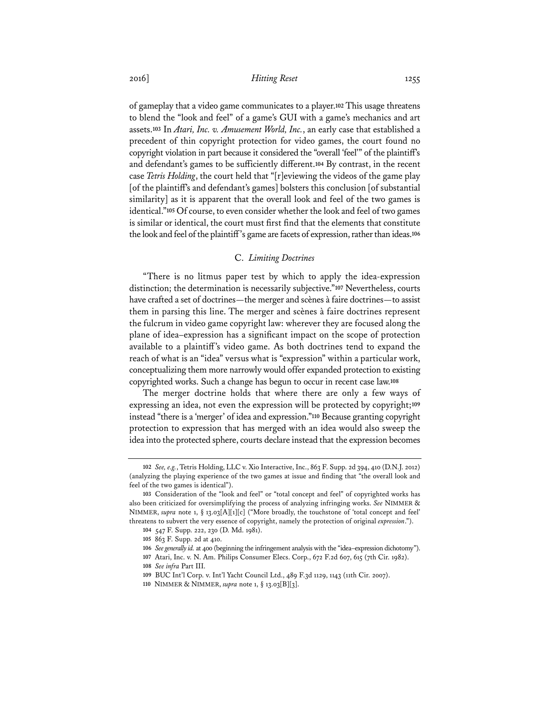of gameplay that a video game communicates to a player.**<sup>102</sup>** This usage threatens to blend the "look and feel" of a game's GUI with a game's mechanics and art assets.**<sup>103</sup>** In *Atari, Inc. v. Amusement World, Inc.*, an early case that established a precedent of thin copyright protection for video games, the court found no copyright violation in part because it considered the "overall 'feel'" of the plaintiff's and defendant's games to be sufficiently different.**<sup>104</sup>** By contrast, in the recent case *Tetris Holding*, the court held that "[r]eviewing the videos of the game play [of the plaintiff's and defendant's games] bolsters this conclusion [of substantial similarity] as it is apparent that the overall look and feel of the two games is identical."**<sup>105</sup>** Of course, to even consider whether the look and feel of two games is similar or identical, the court must first find that the elements that constitute the look and feel of the plaintiff's game are facets of expression, rather than ideas.**<sup>106</sup>**

#### C. *Limiting Doctrines*

"There is no litmus paper test by which to apply the idea-expression distinction; the determination is necessarily subjective."**<sup>107</sup>** Nevertheless, courts have crafted a set of doctrines—the merger and scènes à faire doctrines—to assist them in parsing this line. The merger and scènes à faire doctrines represent the fulcrum in video game copyright law: wherever they are focused along the plane of idea–expression has a significant impact on the scope of protection available to a plaintiff's video game. As both doctrines tend to expand the reach of what is an "idea" versus what is "expression" within a particular work, conceptualizing them more narrowly would offer expanded protection to existing copyrighted works. Such a change has begun to occur in recent case law.**<sup>108</sup>**

The merger doctrine holds that where there are only a few ways of expressing an idea, not even the expression will be protected by copyright;**<sup>109</sup>** instead "there is a 'merger' of idea and expression."**<sup>110</sup>** Because granting copyright protection to expression that has merged with an idea would also sweep the idea into the protected sphere, courts declare instead that the expression becomes

**<sup>102</sup>** *See, e.g.*, Tetris Holding, LLC v. Xio Interactive, Inc., 863 F. Supp. 2d 394, 410 (D.N.J. 2012) (analyzing the playing experience of the two games at issue and finding that "the overall look and feel of the two games is identical").

**<sup>103</sup>** Consideration of the "look and feel" or "total concept and feel" of copyrighted works has also been criticized for oversimplifying the process of analyzing infringing works. *See* NIMMER & NIMMER, *supra* note 1, § 13.03[A][1][c] ("More broadly, the touchstone of 'total concept and feel' threatens to subvert the very essence of copyright, namely the protection of original *expression*.").

**<sup>104</sup>** 547 F. Supp. 222, 230 (D. Md. 1981).

**<sup>105</sup>** 863 F. Supp. 2d at 410.

**<sup>106</sup>** *See generally id.* at 400 (beginning the infringement analysis with the "idea–expression dichotomy").

**<sup>107</sup>** Atari, Inc. v. N. Am. Philips Consumer Elecs. Corp., 672 F.2d 607, 615 (7th Cir. 1982).

**<sup>108</sup>** *See infra* Part III.

**<sup>109</sup>** BUC Int'l Corp. v. Int'l Yacht Council Ltd., 489 F.3d 1129, 1143 (11th Cir. 2007).

**<sup>110</sup>** NIMMER & NIMMER, *supra* note 1, § 13.03[B][3].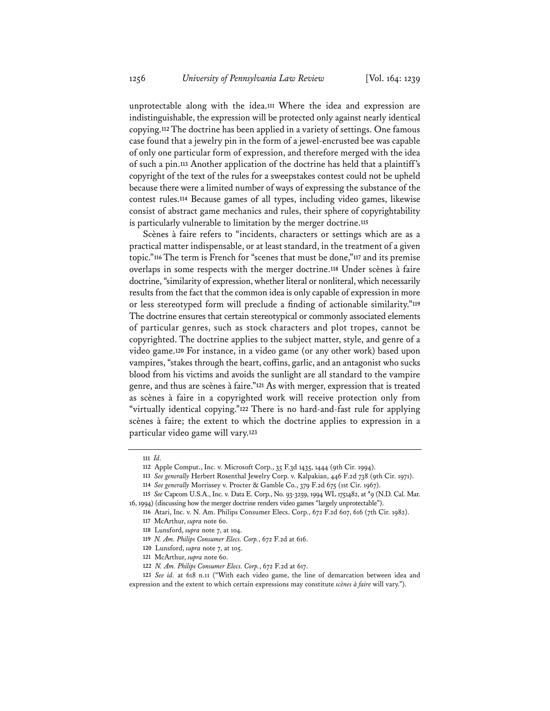unprotectable along with the idea.**<sup>111</sup>** Where the idea and expression are indistinguishable, the expression will be protected only against nearly identical copying.**<sup>112</sup>** The doctrine has been applied in a variety of settings. One famous case found that a jewelry pin in the form of a jewel-encrusted bee was capable of only one particular form of expression, and therefore merged with the idea of such a pin.**<sup>113</sup>** Another application of the doctrine has held that a plaintiff's copyright of the text of the rules for a sweepstakes contest could not be upheld because there were a limited number of ways of expressing the substance of the contest rules.**<sup>114</sup>** Because games of all types, including video games, likewise consist of abstract game mechanics and rules, their sphere of copyrightability is particularly vulnerable to limitation by the merger doctrine.**<sup>115</sup>**

Scènes à faire refers to "incidents, characters or settings which are as a practical matter indispensable, or at least standard, in the treatment of a given topic."**<sup>116</sup>** The term is French for "scenes that must be done,"**<sup>117</sup>** and its premise overlaps in some respects with the merger doctrine.**<sup>118</sup>** Under scènes à faire doctrine, "similarity of expression, whether literal or nonliteral, which necessarily results from the fact that the common idea is only capable of expression in more or less stereotyped form will preclude a finding of actionable similarity."**<sup>119</sup>** The doctrine ensures that certain stereotypical or commonly associated elements of particular genres, such as stock characters and plot tropes, cannot be copyrighted. The doctrine applies to the subject matter, style, and genre of a video game.**<sup>120</sup>** For instance, in a video game (or any other work) based upon vampires, "stakes through the heart, coffins, garlic, and an antagonist who sucks blood from his victims and avoids the sunlight are all standard to the vampire genre, and thus are scènes à faire."**<sup>121</sup>** As with merger, expression that is treated as scènes à faire in a copyrighted work will receive protection only from "virtually identical copying."**<sup>122</sup>** There is no hard-and-fast rule for applying scènes à faire; the extent to which the doctrine applies to expression in a particular video game will vary.**<sup>123</sup>**

**<sup>111</sup>** *Id.* 

**<sup>112</sup>** Apple Comput., Inc. v. Microsoft Corp., 35 F.3d 1435, 1444 (9th Cir. 1994).

**<sup>113</sup>** *See generally* Herbert Rosenthal Jewelry Corp. v. Kalpakian, 446 F.2d 738 (9th Cir. 1971).

**<sup>114</sup>** *See generally* Morrissey v. Procter & Gamble Co., 379 F.2d 675 (1st Cir. 1967).

**<sup>115</sup>** *See* Capcom U.S.A., Inc. v. Data E. Corp., No. 93-3259, 1994 WL 1751482, at \*9 (N.D. Cal. Mar. 16, 1994) (discussing how the merger doctrine renders video games "largely unprotectable").

**<sup>116</sup>** Atari, Inc. v. N. Am. Philips Consumer Elecs. Corp., 672 F.2d 607, 616 (7th Cir. 1982). **117** McArthur, *supra* note 60.

**<sup>118</sup>** Lunsford, *supra* note 7, at 104.

**<sup>119</sup>** *N. Am. Philips Consumer Elecs. Corp.*, 672 F.2d at 616.

**<sup>120</sup>** Lunsford, *supra* note 7, at 105.

**<sup>121</sup>** McArthur, *supra* note 60.

**<sup>122</sup>** *N. Am. Philips Consumer Elecs. Corp.*, 672 F.2d at 617.

**<sup>123</sup>** *See id.* at 618 n.11 ("With each video game, the line of demarcation between idea and expression and the extent to which certain expressions may constitute *scènes à faire* will vary.").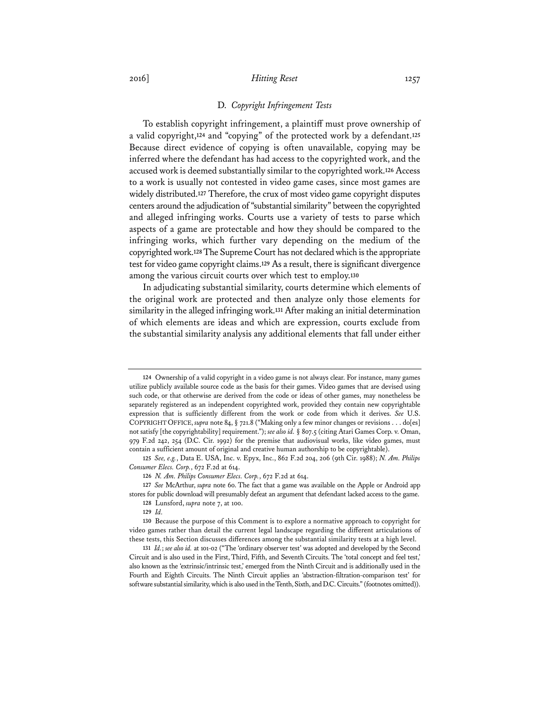#### D. *Copyright Infringement Tests*

To establish copyright infringement, a plaintiff must prove ownership of a valid copyright,**<sup>124</sup>** and "copying" of the protected work by a defendant.**<sup>125</sup>** Because direct evidence of copying is often unavailable, copying may be inferred where the defendant has had access to the copyrighted work, and the accused work is deemed substantially similar to the copyrighted work.**<sup>126</sup>** Access to a work is usually not contested in video game cases, since most games are widely distributed.**<sup>127</sup>** Therefore, the crux of most video game copyright disputes centers around the adjudication of "substantial similarity" between the copyrighted and alleged infringing works. Courts use a variety of tests to parse which aspects of a game are protectable and how they should be compared to the infringing works, which further vary depending on the medium of the copyrighted work.**<sup>128</sup>** The Supreme Court has not declared which is the appropriate test for video game copyright claims.**<sup>129</sup>** As a result, there is significant divergence among the various circuit courts over which test to employ.**<sup>130</sup>**

In adjudicating substantial similarity, courts determine which elements of the original work are protected and then analyze only those elements for similarity in the alleged infringing work.**<sup>131</sup>** After making an initial determination of which elements are ideas and which are expression, courts exclude from the substantial similarity analysis any additional elements that fall under either

**127** *See* McArthur, *supra* note 60. The fact that a game was available on the Apple or Android app stores for public download will presumably defeat an argument that defendant lacked access to the game.

**128** Lunsford, *supra* note 7, at 100. **129** *Id.* 

**<sup>124</sup>** Ownership of a valid copyright in a video game is not always clear. For instance, many games utilize publicly available source code as the basis for their games. Video games that are devised using such code, or that otherwise are derived from the code or ideas of other games, may nonetheless be separately registered as an independent copyrighted work, provided they contain new copyrightable expression that is sufficiently different from the work or code from which it derives. *See* U.S. COPYRIGHT OFFICE, *supra* note 84, § 721.8 ("Making only a few minor changes or revisions . . . do[es] not satisfy [the copyrightability] requirement."); *see alsoid.* § 807.5 (citing Atari Games Corp. v. Oman, 979 F.2d 242, 254 (D.C. Cir. 1992) for the premise that audiovisual works, like video games, must contain a sufficient amount of original and creative human authorship to be copyrightable).

**<sup>125</sup>** *See, e.g.*, Data E. USA, Inc. v. Epyx, Inc., 862 F.2d 204, 206 (9th Cir. 1988); *N. Am. Philips Consumer Elecs. Corp.*, 672 F.2d at 614.

**<sup>126</sup>** *N. Am. Philips Consumer Elecs. Corp.*, 672 F.2d at 614.

**<sup>130</sup>** Because the purpose of this Comment is to explore a normative approach to copyright for video games rather than detail the current legal landscape regarding the different articulations of these tests, this Section discusses differences among the substantial similarity tests at a high level.

**<sup>131</sup>** *Id.*; *see also id.* at 101-02 ("The 'ordinary observer test' was adopted and developed by the Second Circuit and is also used in the First, Third, Fifth, and Seventh Circuits. The 'total concept and feel test,' also known as the 'extrinsic/intrinsic test,' emerged from the Ninth Circuit and is additionally used in the Fourth and Eighth Circuits. The Ninth Circuit applies an 'abstraction-filtration-comparison test' for software substantial similarity, which is also used in the Tenth, Sixth, and D.C. Circuits." (footnotes omitted)).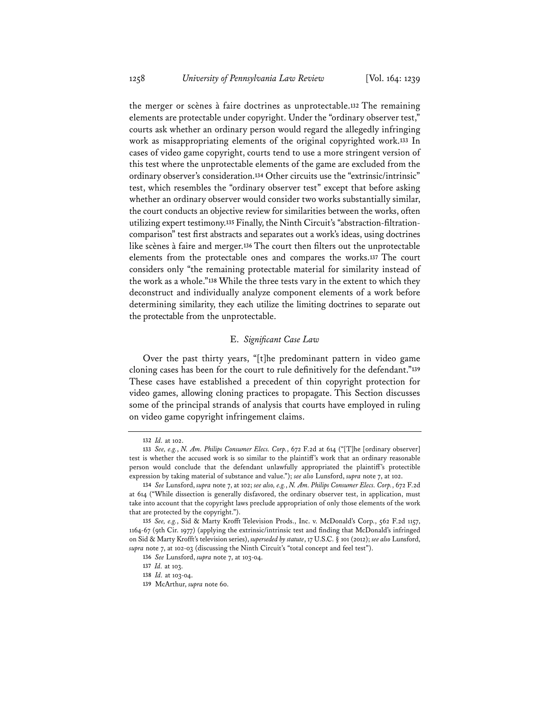the merger or scènes à faire doctrines as unprotectable.**<sup>132</sup>** The remaining elements are protectable under copyright. Under the "ordinary observer test," courts ask whether an ordinary person would regard the allegedly infringing work as misappropriating elements of the original copyrighted work.**<sup>133</sup>** In cases of video game copyright, courts tend to use a more stringent version of this test where the unprotectable elements of the game are excluded from the ordinary observer's consideration.**<sup>134</sup>** Other circuits use the "extrinsic/intrinsic" test, which resembles the "ordinary observer test" except that before asking whether an ordinary observer would consider two works substantially similar, the court conducts an objective review for similarities between the works, often utilizing expert testimony.**135** Finally, the Ninth Circuit's "abstraction-filtrationcomparison" test first abstracts and separates out a work's ideas, using doctrines like scènes à faire and merger.**<sup>136</sup>** The court then filters out the unprotectable elements from the protectable ones and compares the works.**<sup>137</sup>** The court considers only "the remaining protectable material for similarity instead of the work as a whole."**<sup>138</sup>** While the three tests vary in the extent to which they deconstruct and individually analyze component elements of a work before determining similarity, they each utilize the limiting doctrines to separate out the protectable from the unprotectable.

### E. *Significant Case Law*

Over the past thirty years, "[t]he predominant pattern in video game cloning cases has been for the court to rule definitively for the defendant."**<sup>139</sup>** These cases have established a precedent of thin copyright protection for video games, allowing cloning practices to propagate. This Section discusses some of the principal strands of analysis that courts have employed in ruling on video game copyright infringement claims.

**<sup>132</sup>** *Id.* at 102.

**<sup>133</sup>** *See, e.g.*, *N. Am. Philips Consumer Elecs. Corp.*, 672 F.2d at 614 ("[T]he [ordinary observer] test is whether the accused work is so similar to the plaintiff's work that an ordinary reasonable person would conclude that the defendant unlawfully appropriated the plaintiff's protectible expression by taking material of substance and value."); *see also* Lunsford, *supra* note 7, at 102.

**<sup>134</sup>** *See* Lunsford, *supra* note 7, at 102; *see also, e.g.*, *N. Am. Philips Consumer Elecs. Corp.*, 672 F.2d at 614 ("While dissection is generally disfavored, the ordinary observer test, in application, must take into account that the copyright laws preclude appropriation of only those elements of the work that are protected by the copyright.").

**<sup>135</sup>** *See, e.g.*, Sid & Marty Krofft Television Prods., Inc. v. McDonald's Corp., 562 F.2d 1157, 1164-67 (9th Cir. 1977) (applying the extrinsic/intrinsic test and finding that McDonald's infringed on Sid & Marty Krofft's television series), *superseded by statute*, 17 U.S.C. § 101 (2012); *see also* Lunsford, *supra* note 7, at 102-03 (discussing the Ninth Circuit's "total concept and feel test").

**<sup>136</sup>** *See* Lunsford, *supra* note 7, at 103-04.

**<sup>137</sup>** *Id.* at 103.

**<sup>138</sup>** *Id.* at 103-04.

**<sup>139</sup>** McArthur, *supra* note 60.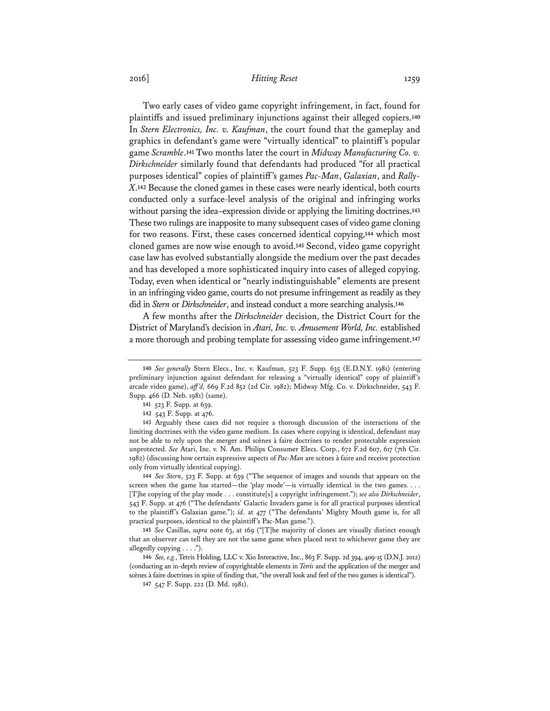Two early cases of video game copyright infringement, in fact, found for plaintiffs and issued preliminary injunctions against their alleged copiers.**<sup>140</sup>** In *Stern Electronics, Inc. v. Kaufman*, the court found that the gameplay and graphics in defendant's game were "virtually identical" to plaintiff's popular game *Scramble*.**<sup>141</sup>** Two months later the court in *Midway Manufacturing Co. v. Dirkschneider* similarly found that defendants had produced "for all practical purposes identical" copies of plaintiff's games *Pac-Man*, *Galaxian*, and *Rally-X*.**<sup>142</sup>** Because the cloned games in these cases were nearly identical, both courts conducted only a surface-level analysis of the original and infringing works without parsing the idea–expression divide or applying the limiting doctrines.**<sup>143</sup>** These two rulings are inapposite to many subsequent cases of video game cloning for two reasons. First, these cases concerned identical copying,**<sup>144</sup>** which most cloned games are now wise enough to avoid.**<sup>145</sup>** Second, video game copyright case law has evolved substantially alongside the medium over the past decades and has developed a more sophisticated inquiry into cases of alleged copying. Today, even when identical or "nearly indistinguishable" elements are present in an infringing video game, courts do not presume infringement as readily as they did in *Stern* or *Dirkschneider*, and instead conduct a more searching analysis.**<sup>146</sup>**

A few months after the *Dirkschneider* decision, the District Court for the District of Maryland's decision in *Atari, Inc. v. Amusement World, Inc.* established a more thorough and probing template for assessing video game infringement.**<sup>147</sup>**

**<sup>140</sup>** *See generally* Stern Elecs., Inc. v. Kaufman, 523 F. Supp. 635 (E.D.N.Y. 1981) (entering preliminary injunction against defendant for releasing a "virtually identical" copy of plaintiff's arcade video game), *aff 'd,* 669 F.2d 852 (2d Cir. 1982); Midway Mfg. Co. v. Dirkschneider, 543 F. Supp. 466 (D. Neb. 1981) (same).

**<sup>141</sup>** 523 F. Supp. at 639.

**<sup>142</sup>** 543 F. Supp. at 476.

**<sup>143</sup>** Arguably these cases did not require a thorough discussion of the interactions of the limiting doctrines with the video game medium. In cases where copying is identical, defendant may not be able to rely upon the merger and scènes à faire doctrines to render protectable expression unprotected. *See* Atari, Inc. v. N. Am. Philips Consumer Elecs. Corp., 672 F.2d 607, 617 (7th Cir. 1982) (discussing how certain expressive aspects of *Pac-Man* are scènes à faire and receive protection only from virtually identical copying).

**<sup>144</sup>** *See Stern*, 523 F. Supp. at 639 ("The sequence of images and sounds that appears on the screen when the game has started—the 'play mode'—is virtually identical in the two games. . . . [T]he copying of the play mode . . . constitute[s] a copyright infringement."); *see also Dirkschneider*, 543 F. Supp. at 476 ("The defendants' Galactic Invaders game is for all practical purposes identical to the plaintiff's Galaxian game."); *id.* at 477 ("The defendants' Mighty Mouth game is, for all practical purposes, identical to the plaintiff's Pac-Man game.").

**<sup>145</sup>** *See* Casillas, *supra* note 63, at 169 ("[T]he majority of clones are visually distinct enough that an observer can tell they are not the same game when placed next to whichever game they are allegedly copying . . . .").

**<sup>146</sup>** *See, e.g.*, Tetris Holding, LLC v. Xio Interactive, Inc., 863 F. Supp. 2d 394, 409-15 (D.N.J. 2012) (conducting an in-depth review of copyrightable elements in *Tetris* and the application of the merger and scènes à faire doctrines in spite of finding that, "the overall look and feel of the two games is identical").

**<sup>147</sup>** 547 F. Supp. 222 (D. Md. 1981).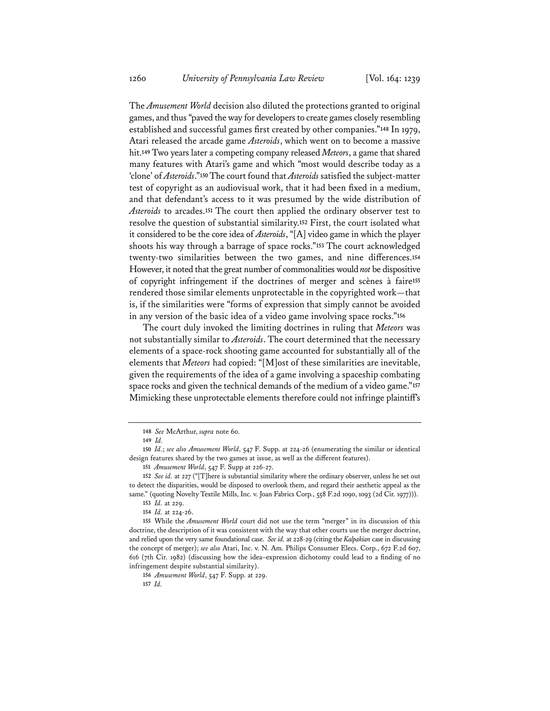The *Amusement World* decision also diluted the protections granted to original games, and thus "paved the way for developers to create games closely resembling established and successful games first created by other companies."**<sup>148</sup>** In 1979, Atari released the arcade game *Asteroids*, which went on to become a massive hit.**<sup>149</sup>** Two years later a competing company released *Meteors*, a game that shared many features with Atari's game and which "most would describe today as a 'clone' of *Asteroids*."**<sup>150</sup>** The court found that *Asteroids* satisfied the subject-matter test of copyright as an audiovisual work, that it had been fixed in a medium, and that defendant's access to it was presumed by the wide distribution of *Asteroids* to arcades.**<sup>151</sup>** The court then applied the ordinary observer test to resolve the question of substantial similarity.**<sup>152</sup>** First, the court isolated what it considered to be the core idea of *Asteroids*, "[A] video game in which the player shoots his way through a barrage of space rocks."**<sup>153</sup>** The court acknowledged twenty-two similarities between the two games, and nine differences.**<sup>154</sup>** However, it noted that the great number of commonalities would *not* be dispositive of copyright infringement if the doctrines of merger and scènes à faire**<sup>155</sup>** rendered those similar elements unprotectable in the copyrighted work—that is, if the similarities were "forms of expression that simply cannot be avoided in any version of the basic idea of a video game involving space rocks."**<sup>156</sup>**

The court duly invoked the limiting doctrines in ruling that *Meteors* was not substantially similar to *Asteroids*. The court determined that the necessary elements of a space-rock shooting game accounted for substantially all of the elements that *Meteors* had copied: "[M]ost of these similarities are inevitable, given the requirements of the idea of a game involving a spaceship combating space rocks and given the technical demands of the medium of a video game."**<sup>157</sup>** Mimicking these unprotectable elements therefore could not infringe plaintiff's

**156** *Amusement World*, 547 F. Supp. at 229. **157** *Id.*

**<sup>148</sup>** *See* McArthur, *supra* note 60.

**<sup>149</sup>** *Id.*

**<sup>150</sup>** *Id.*; *see also Amusement World*, 547 F. Supp. at 224-26 (enumerating the similar or identical design features shared by the two games at issue, as well as the different features).

**<sup>151</sup>** *Amusement World*, 547 F. Supp at 226-27.

**<sup>152</sup>** *See id.* at 227 ("[T]here is substantial similarity where the ordinary observer, unless he set out to detect the disparities, would be disposed to overlook them, and regard their aesthetic appeal as the same." (quoting Novelty Textile Mills, Inc. v. Joan Fabrics Corp., 558 F.2d 1090, 1093 (2d Cir. 1977))).

**<sup>153</sup>** *Id.* at 229. **154** *Id.* at 224-26.

**<sup>155</sup>** While the *Amusement World* court did not use the term "merger" in its discussion of this doctrine, the description of it was consistent with the way that other courts use the merger doctrine, and relied upon the very same foundational case. *See id.* at 228-29 (citing the *Kalpakian* case in discussing the concept of merger); *see also* Atari, Inc. v. N. Am. Philips Consumer Elecs. Corp., 672 F.2d 607, 616 (7th Cir. 1982) (discussing how the idea–expression dichotomy could lead to a finding of no infringement despite substantial similarity).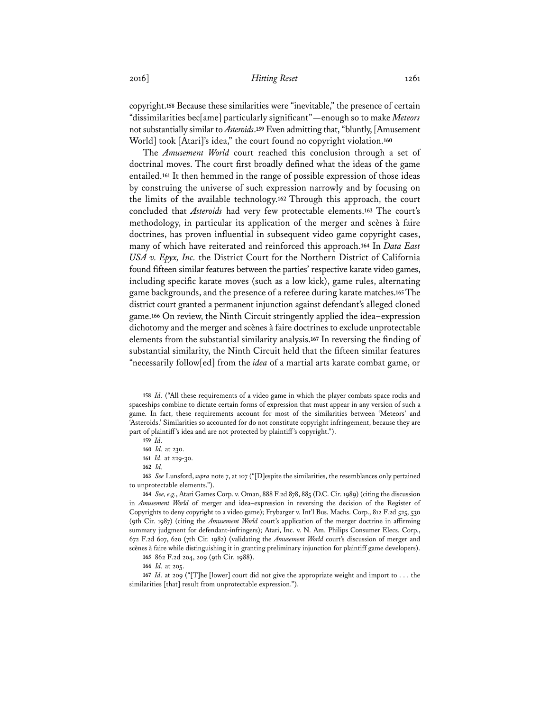copyright.**<sup>158</sup>** Because these similarities were "inevitable," the presence of certain "dissimilarities bec[ame] particularly significant"—enough so to make *Meteors* not substantially similar to *Asteroids*.**<sup>159</sup>** Even admitting that, "bluntly, [Amusement World] took [Atari]'s idea," the court found no copyright violation.**<sup>160</sup>**

The *Amusement World* court reached this conclusion through a set of doctrinal moves. The court first broadly defined what the ideas of the game entailed.**<sup>161</sup>** It then hemmed in the range of possible expression of those ideas by construing the universe of such expression narrowly and by focusing on the limits of the available technology.**<sup>162</sup>** Through this approach, the court concluded that *Asteroids* had very few protectable elements.**<sup>163</sup>** The court's methodology, in particular its application of the merger and scènes à faire doctrines, has proven influential in subsequent video game copyright cases, many of which have reiterated and reinforced this approach.**<sup>164</sup>** In *Data East USA v. Epyx, Inc.* the District Court for the Northern District of California found fifteen similar features between the parties' respective karate video games, including specific karate moves (such as a low kick), game rules, alternating game backgrounds, and the presence of a referee during karate matches.**<sup>165</sup>** The district court granted a permanent injunction against defendant's alleged cloned game.**<sup>166</sup>** On review, the Ninth Circuit stringently applied the idea–expression dichotomy and the merger and scènes à faire doctrines to exclude unprotectable elements from the substantial similarity analysis.**<sup>167</sup>** In reversing the finding of substantial similarity, the Ninth Circuit held that the fifteen similar features "necessarily follow[ed] from the *idea* of a martial arts karate combat game, or

**<sup>158</sup>** *Id.* ("All these requirements of a video game in which the player combats space rocks and spaceships combine to dictate certain forms of expression that must appear in any version of such a game. In fact, these requirements account for most of the similarities between 'Meteors' and 'Asteroids.' Similarities so accounted for do not constitute copyright infringement, because they are part of plaintiff's idea and are not protected by plaintiff's copyright.").

**<sup>159</sup>** *Id.*

**<sup>160</sup>** *Id.* at 230.

**<sup>161</sup>** *Id.* at 229-30.

**<sup>162</sup>** *Id.*

**<sup>163</sup>** *See* Lunsford, *supra* note 7, at 107 ("[D]espite the similarities, the resemblances only pertained to unprotectable elements.").

**<sup>164</sup>** *See, e.g.*, Atari Games Corp. v. Oman, 888 F.2d 878, 885 (D.C. Cir. 1989) (citing the discussion in *Amusement World* of merger and idea–expression in reversing the decision of the Register of Copyrights to deny copyright to a video game); Frybarger v. Int'l Bus. Machs. Corp., 812 F.2d 525, 530 (9th Cir. 1987) (citing the *Amusement World* court's application of the merger doctrine in affirming summary judgment for defendant-infringers); Atari, Inc. v. N. Am. Philips Consumer Elecs. Corp., 672 F.2d 607, 620 (7th Cir. 1982) (validating the *Amusement World* court's discussion of merger and scènes à faire while distinguishing it in granting preliminary injunction for plaintiff game developers).

**<sup>165</sup>** 862 F.2d 204, 209 (9th Cir. 1988).

**<sup>166</sup>** *Id.* at 205.

**<sup>167</sup>** *Id.* at 209 ("[T]he [lower] court did not give the appropriate weight and import to . . . the similarities [that] result from unprotectable expression.").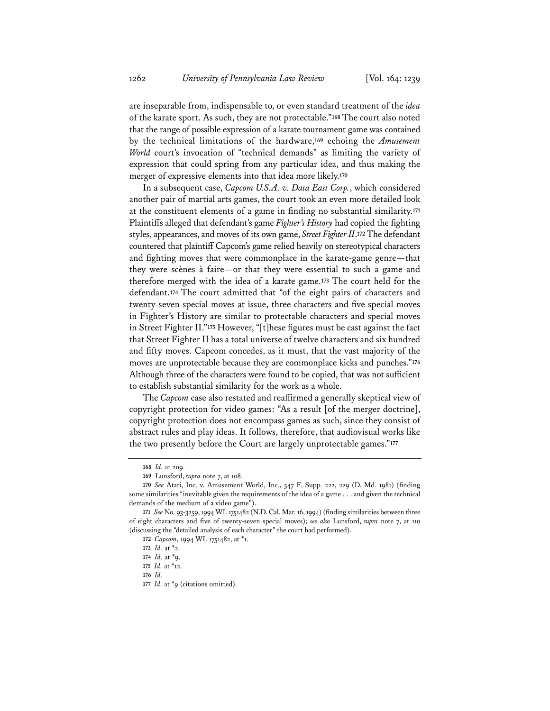are inseparable from, indispensable to, or even standard treatment of the *idea* of the karate sport. As such, they are not protectable."**<sup>168</sup>** The court also noted that the range of possible expression of a karate tournament game was contained by the technical limitations of the hardware,**<sup>169</sup>** echoing the *Amusement World* court's invocation of "technical demands" as limiting the variety of expression that could spring from any particular idea, and thus making the merger of expressive elements into that idea more likely.**<sup>170</sup>**

In a subsequent case, *Capcom U.S.A. v. Data East Corp.*, which considered another pair of martial arts games, the court took an even more detailed look at the constituent elements of a game in finding no substantial similarity.**<sup>171</sup>** Plaintiffs alleged that defendant's game *Fighter's History* had copied the fighting styles, appearances, and moves of its own game, *Street Fighter II*.**<sup>172</sup>** The defendant countered that plaintiff Capcom's game relied heavily on stereotypical characters and fighting moves that were commonplace in the karate-game genre—that they were scènes à faire—or that they were essential to such a game and therefore merged with the idea of a karate game.**<sup>173</sup>** The court held for the defendant.**<sup>174</sup>** The court admitted that "of the eight pairs of characters and twenty-seven special moves at issue, three characters and five special moves in Fighter's History are similar to protectable characters and special moves in Street Fighter II."**<sup>175</sup>** However, "[t]hese figures must be cast against the fact that Street Fighter II has a total universe of twelve characters and six hundred and fifty moves. Capcom concedes, as it must, that the vast majority of the moves are unprotectable because they are commonplace kicks and punches."**<sup>176</sup>** Although three of the characters were found to be copied, that was not sufficient to establish substantial similarity for the work as a whole.

The *Capcom* case also restated and reaffirmed a generally skeptical view of copyright protection for video games: "As a result [of the merger doctrine], copyright protection does not encompass games as such, since they consist of abstract rules and play ideas. It follows, therefore, that audiovisual works like the two presently before the Court are largely unprotectable games."**<sup>177</sup>**

**<sup>168</sup>** *Id.* at 209.

**<sup>169</sup>** Lunsford, *supra* note 7, at 108.

**<sup>170</sup>** *See* Atari, Inc. v. Amusement World, Inc., 547 F. Supp. 222, 229 (D. Md. 1981) (finding some similarities "inevitable given the requirements of the idea of a game . . . and given the technical demands of the medium of a video game").

**<sup>171</sup>** *See* No. 93-3259, 1994 WL 1751482 (N.D. Cal. Mar. 16, 1994) (finding similarities between three of eight characters and five of twenty-seven special moves); *see also* Lunsford, *supra* note 7, at 110 (discussing the "detailed analysis of each character" the court had performed).

**<sup>172</sup>** *Capcom*, 1994 WL 1751482, at \*1.

**<sup>173</sup>** *Id.* at \*2.

**<sup>174</sup>** *Id.* at \*9.

**<sup>175</sup>** *Id.* at \*12.

**<sup>176</sup>** *Id.*

**<sup>177</sup>** *Id.* at \*9 (citations omitted).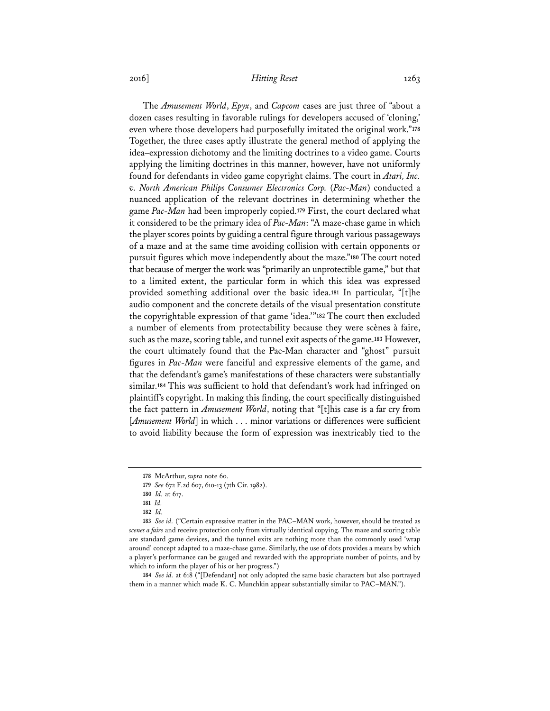The *Amusement World*, *Epyx*, and *Capcom* cases are just three of "about a dozen cases resulting in favorable rulings for developers accused of 'cloning,' even where those developers had purposefully imitated the original work."**<sup>178</sup>** Together, the three cases aptly illustrate the general method of applying the idea–expression dichotomy and the limiting doctrines to a video game. Courts applying the limiting doctrines in this manner, however, have not uniformly found for defendants in video game copyright claims. The court in *Atari, Inc. v. North American Philips Consumer Electronics Corp.* (*Pac-Man*) conducted a nuanced application of the relevant doctrines in determining whether the game *Pac-Man* had been improperly copied.**<sup>179</sup>** First, the court declared what it considered to be the primary idea of *Pac-Man*: "A maze-chase game in which the player scores points by guiding a central figure through various passageways of a maze and at the same time avoiding collision with certain opponents or pursuit figures which move independently about the maze."**<sup>180</sup>** The court noted that because of merger the work was "primarily an unprotectible game," but that to a limited extent, the particular form in which this idea was expressed provided something additional over the basic idea.**<sup>181</sup>** In particular, "[t]he audio component and the concrete details of the visual presentation constitute the copyrightable expression of that game 'idea.'"**<sup>182</sup>** The court then excluded a number of elements from protectability because they were scènes à faire, such as the maze, scoring table, and tunnel exit aspects of the game.**<sup>183</sup>** However, the court ultimately found that the Pac-Man character and "ghost" pursuit figures in *Pac-Man* were fanciful and expressive elements of the game, and that the defendant's game's manifestations of these characters were substantially similar.**<sup>184</sup>** This was sufficient to hold that defendant's work had infringed on plaintiff's copyright. In making this finding, the court specifically distinguished the fact pattern in *Amusement World*, noting that "[t]his case is a far cry from [*Amusement World*] in which . . . minor variations or differences were sufficient to avoid liability because the form of expression was inextricably tied to the

**184** *See id.* at 618 ("[Defendant] not only adopted the same basic characters but also portrayed them in a manner which made K. C. Munchkin appear substantially similar to PAC–MAN.").

**<sup>178</sup>** McArthur, *supra* note 60.

**<sup>179</sup>** *See* 672 F.2d 607, 610-13 (7th Cir. 1982).

**<sup>180</sup>** *Id.* at 617.

**<sup>181</sup>** *Id.* 

**<sup>182</sup>** *Id.* 

**<sup>183</sup>** *See id.* ("Certain expressive matter in the PAC–MAN work, however, should be treated as *scenes a faire* and receive protection only from virtually identical copying. The maze and scoring table are standard game devices, and the tunnel exits are nothing more than the commonly used 'wrap around' concept adapted to a maze-chase game. Similarly, the use of dots provides a means by which a player's performance can be gauged and rewarded with the appropriate number of points, and by which to inform the player of his or her progress.")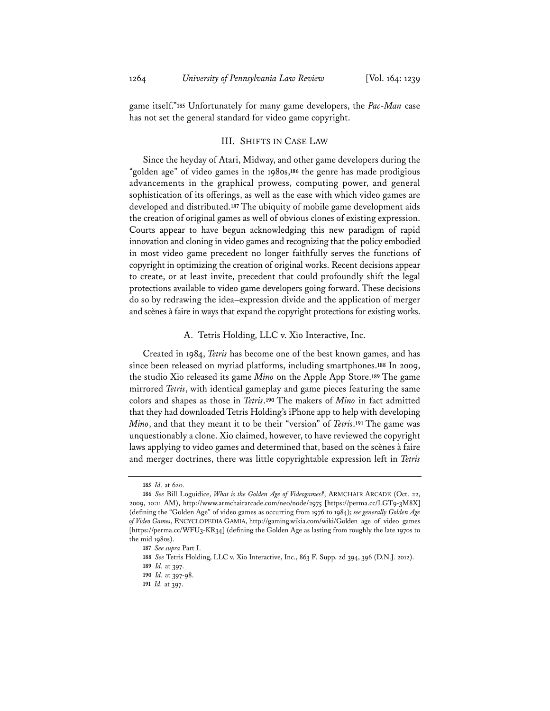game itself."**<sup>185</sup>** Unfortunately for many game developers, the *Pac-Man* case has not set the general standard for video game copyright.

### III. SHIFTS IN CASE LAW

Since the heyday of Atari, Midway, and other game developers during the "golden age" of video games in the 1980s,**<sup>186</sup>** the genre has made prodigious advancements in the graphical prowess, computing power, and general sophistication of its offerings, as well as the ease with which video games are developed and distributed.**<sup>187</sup>** The ubiquity of mobile game development aids the creation of original games as well of obvious clones of existing expression. Courts appear to have begun acknowledging this new paradigm of rapid innovation and cloning in video games and recognizing that the policy embodied in most video game precedent no longer faithfully serves the functions of copyright in optimizing the creation of original works. Recent decisions appear to create, or at least invite, precedent that could profoundly shift the legal protections available to video game developers going forward. These decisions do so by redrawing the idea–expression divide and the application of merger and scènes à faire in ways that expand the copyright protections for existing works.

### A. Tetris Holding, LLC v. Xio Interactive, Inc.

Created in 1984, *Tetris* has become one of the best known games, and has since been released on myriad platforms, including smartphones.**<sup>188</sup>** In 2009, the studio Xio released its game *Mino* on the Apple App Store.**<sup>189</sup>** The game mirrored *Tetris*, with identical gameplay and game pieces featuring the same colors and shapes as those in *Tetris*.**<sup>190</sup>** The makers of *Mino* in fact admitted that they had downloaded Tetris Holding's iPhone app to help with developing *Mino*, and that they meant it to be their "version" of *Tetris*.**<sup>191</sup>** The game was unquestionably a clone. Xio claimed, however, to have reviewed the copyright laws applying to video games and determined that, based on the scènes à faire and merger doctrines, there was little copyrightable expression left in *Tetris*

**<sup>185</sup>** *Id.* at 620.

**<sup>186</sup>** *See* Bill Loguidice, *What is the Golden Age of Videogames?*, ARMCHAIR ARCADE (Oct. 22, 2009, 10:11 AM), http://www.armchairarcade.com/neo/node/2975 [https://perma.cc/LGT9-3M8X] (defining the "Golden Age" of video games as occurring from 1976 to 1984); *see generally Golden Age of Video Games*, ENCYCLOPEDIA GAMIA, http://gaming.wikia.com/wiki/Golden\_age\_of\_video\_games [https://perma.cc/WFU3-KR34] (defining the Golden Age as lasting from roughly the late 1970s to the mid 1980s).

**<sup>187</sup>** *See supra* Part I.

**<sup>188</sup>** *See* Tetris Holding, LLC v. Xio Interactive, Inc., 863 F. Supp. 2d 394, 396 (D.N.J. 2012).

**<sup>189</sup>** *Id.* at 397.

**<sup>190</sup>** *Id.* at 397-98.

**<sup>191</sup>** *Id.* at 397.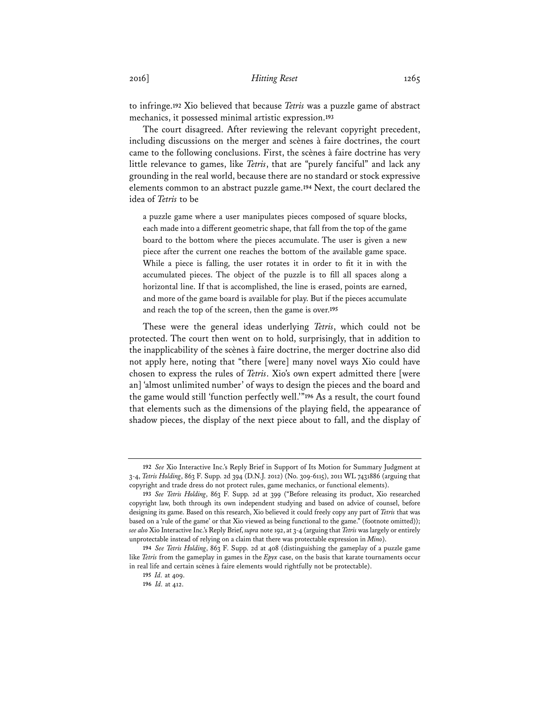to infringe.**<sup>192</sup>** Xio believed that because *Tetris* was a puzzle game of abstract mechanics, it possessed minimal artistic expression.**<sup>193</sup>**

The court disagreed. After reviewing the relevant copyright precedent, including discussions on the merger and scènes à faire doctrines, the court came to the following conclusions. First, the scènes à faire doctrine has very little relevance to games, like *Tetris*, that are "purely fanciful" and lack any grounding in the real world, because there are no standard or stock expressive elements common to an abstract puzzle game.**<sup>194</sup>** Next, the court declared the idea of *Tetris* to be

a puzzle game where a user manipulates pieces composed of square blocks, each made into a different geometric shape, that fall from the top of the game board to the bottom where the pieces accumulate. The user is given a new piece after the current one reaches the bottom of the available game space. While a piece is falling, the user rotates it in order to fit it in with the accumulated pieces. The object of the puzzle is to fill all spaces along a horizontal line. If that is accomplished, the line is erased, points are earned, and more of the game board is available for play. But if the pieces accumulate and reach the top of the screen, then the game is over.**<sup>195</sup>**

These were the general ideas underlying *Tetris*, which could not be protected. The court then went on to hold, surprisingly, that in addition to the inapplicability of the scènes à faire doctrine, the merger doctrine also did not apply here, noting that "there [were] many novel ways Xio could have chosen to express the rules of *Tetris*. Xio's own expert admitted there [were an] 'almost unlimited number' of ways to design the pieces and the board and the game would still 'function perfectly well.'"**<sup>196</sup>** As a result, the court found that elements such as the dimensions of the playing field, the appearance of shadow pieces, the display of the next piece about to fall, and the display of

**<sup>192</sup>** *See* Xio Interactive Inc.'s Reply Brief in Support of Its Motion for Summary Judgment at 3-4, *Tetris Holding*, 863 F. Supp. 2d 394 (D.N.J. 2012) (No. 309-6115), 2011 WL 7431886 (arguing that copyright and trade dress do not protect rules, game mechanics, or functional elements).

**<sup>193</sup>** *See Tetris Holding*, 863 F. Supp. 2d at 399 ("Before releasing its product, Xio researched copyright law, both through its own independent studying and based on advice of counsel, before designing its game. Based on this research, Xio believed it could freely copy any part of *Tetris* that was based on a 'rule of the game' or that Xio viewed as being functional to the game." (footnote omitted)); *see also* Xio Interactive Inc.'s Reply Brief, *supra* note 192, at 3-4 (arguing that *Tetris* was largely or entirely unprotectable instead of relying on a claim that there was protectable expression in *Mino*).

**<sup>194</sup>** *See Tetris Holding*, 863 F. Supp. 2d at 408 (distinguishing the gameplay of a puzzle game like *Tetris* from the gameplay in games in the *Epyx* case, on the basis that karate tournaments occur in real life and certain scènes à faire elements would rightfully not be protectable).

**<sup>195</sup>** *Id.* at 409.

**<sup>196</sup>** *Id.* at 412.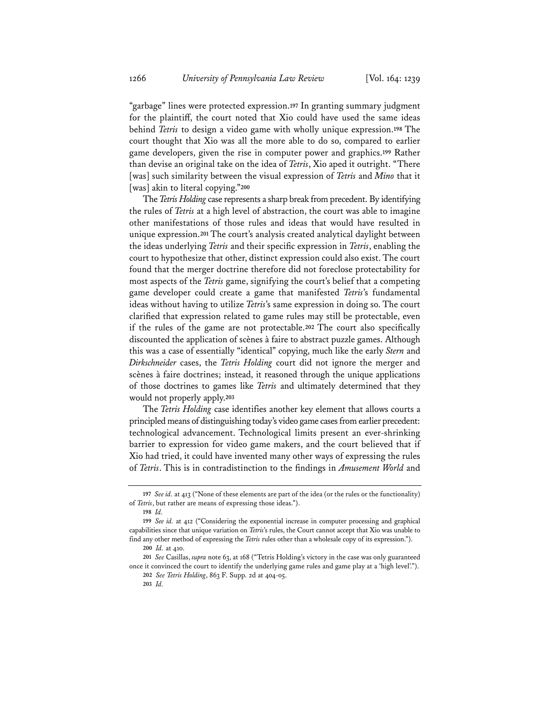"garbage" lines were protected expression.**<sup>197</sup>** In granting summary judgment for the plaintiff, the court noted that Xio could have used the same ideas behind *Tetris* to design a video game with wholly unique expression.**<sup>198</sup>** The court thought that Xio was all the more able to do so, compared to earlier game developers, given the rise in computer power and graphics.**<sup>199</sup>** Rather than devise an original take on the idea of *Tetris*, Xio aped it outright. "There [was] such similarity between the visual expression of *Tetris* and *Mino* that it [was] akin to literal copying."**<sup>200</sup>**

The *Tetris Holding* case represents a sharp break from precedent. By identifying the rules of *Tetris* at a high level of abstraction, the court was able to imagine other manifestations of those rules and ideas that would have resulted in unique expression.**<sup>201</sup>** The court's analysis created analytical daylight between the ideas underlying *Tetris* and their specific expression in *Tetris*, enabling the court to hypothesize that other, distinct expression could also exist. The court found that the merger doctrine therefore did not foreclose protectability for most aspects of the *Tetris* game, signifying the court's belief that a competing game developer could create a game that manifested *Tetris*'s fundamental ideas without having to utilize *Tetris*'s same expression in doing so. The court clarified that expression related to game rules may still be protectable, even if the rules of the game are not protectable.**<sup>202</sup>** The court also specifically discounted the application of scènes à faire to abstract puzzle games. Although this was a case of essentially "identical" copying, much like the early *Stern* and *Dirkschneider* cases, the *Tetris Holding* court did not ignore the merger and scènes à faire doctrines; instead, it reasoned through the unique applications of those doctrines to games like *Tetris* and ultimately determined that they would not properly apply.**<sup>203</sup>**

The *Tetris Holding* case identifies another key element that allows courts a principled means of distinguishing today's video game cases from earlier precedent: technological advancement. Technological limits present an ever-shrinking barrier to expression for video game makers, and the court believed that if Xio had tried, it could have invented many other ways of expressing the rules of *Tetris*. This is in contradistinction to the findings in *Amusement World* and

**<sup>197</sup>** *See id.* at 413 ("None of these elements are part of the idea (or the rules or the functionality) of *Tetris*, but rather are means of expressing those ideas.").

**<sup>198</sup>** *Id.*

**<sup>199</sup>** *See id.* at 412 ("Considering the exponential increase in computer processing and graphical capabilities since that unique variation on *Tetris*'s rules, the Court cannot accept that Xio was unable to find any other method of expressing the *Tetris* rules other than a wholesale copy of its expression.").

**<sup>200</sup>** *Id.* at 410.

**<sup>201</sup>** *See* Casillas, *supra* note 63, at 168 ("Tetris Holding's victory in the case was only guaranteed once it convinced the court to identify the underlying game rules and game play at a 'high level'.").

**<sup>202</sup>** *See Tetris Holding*, 863 F. Supp. 2d at 404-05.

**<sup>203</sup>** *Id.*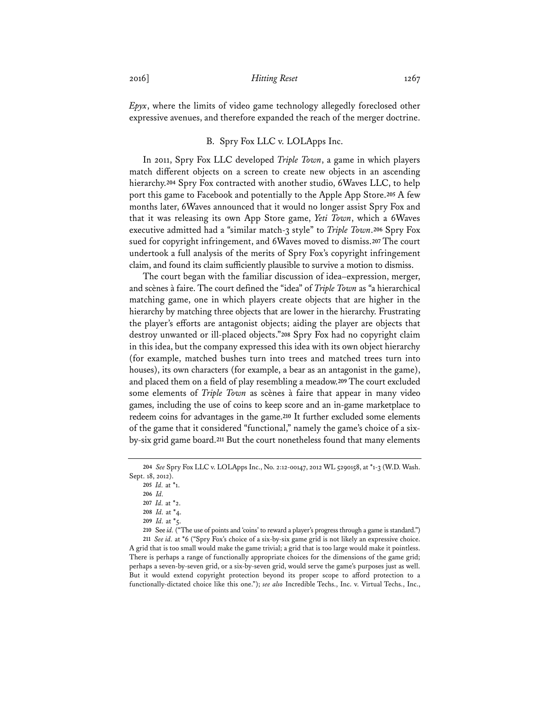*Epyx*, where the limits of video game technology allegedly foreclosed other expressive avenues, and therefore expanded the reach of the merger doctrine.

### B. Spry Fox LLC v. LOLApps Inc.

In 2011, Spry Fox LLC developed *Triple Town*, a game in which players match different objects on a screen to create new objects in an ascending hierarchy.**<sup>204</sup>** Spry Fox contracted with another studio, 6Waves LLC, to help port this game to Facebook and potentially to the Apple App Store.**<sup>205</sup>** A few months later, 6Waves announced that it would no longer assist Spry Fox and that it was releasing its own App Store game, *Yeti Town*, which a 6Waves executive admitted had a "similar match-3 style" to *Triple Town*.**<sup>206</sup>** Spry Fox sued for copyright infringement, and 6Waves moved to dismiss.**<sup>207</sup>** The court undertook a full analysis of the merits of Spry Fox's copyright infringement claim, and found its claim sufficiently plausible to survive a motion to dismiss.

The court began with the familiar discussion of idea–expression, merger, and scènes à faire. The court defined the "idea" of *Triple Town* as "a hierarchical matching game, one in which players create objects that are higher in the hierarchy by matching three objects that are lower in the hierarchy. Frustrating the player's efforts are antagonist objects; aiding the player are objects that destroy unwanted or ill-placed objects."**<sup>208</sup>** Spry Fox had no copyright claim in this idea, but the company expressed this idea with its own object hierarchy (for example, matched bushes turn into trees and matched trees turn into houses), its own characters (for example, a bear as an antagonist in the game), and placed them on a field of play resembling a meadow.**<sup>209</sup>** The court excluded some elements of *Triple Town* as scènes à faire that appear in many video games, including the use of coins to keep score and an in-game marketplace to redeem coins for advantages in the game.**<sup>210</sup>** It further excluded some elements of the game that it considered "functional," namely the game's choice of a sixby-six grid game board.**<sup>211</sup>** But the court nonetheless found that many elements

**<sup>204</sup>** *See* Spry Fox LLC v. LOLApps Inc., No. 2:12-00147, 2012 WL 5290158, at \*1-3 (W.D. Wash. Sept. 18, 2012).

**<sup>205</sup>** *Id.* at \*1.

**<sup>206</sup>** *Id.*

**<sup>207</sup>** *Id.* at \*2.

**<sup>208</sup>** *Id.* at \*4.

**<sup>209</sup>** *Id.* at \*5.

**<sup>210</sup>** See *id.* ("The use of points and 'coins' to reward a player's progress through a game is standard.")

**<sup>211</sup>** *See id.* at \*6 ("Spry Fox's choice of a six-by-six game grid is not likely an expressive choice. A grid that is too small would make the game trivial; a grid that is too large would make it pointless. There is perhaps a range of functionally appropriate choices for the dimensions of the game grid; perhaps a seven-by-seven grid, or a six-by-seven grid, would serve the game's purposes just as well. But it would extend copyright protection beyond its proper scope to afford protection to a functionally-dictated choice like this one."); *see also* Incredible Techs., Inc. v. Virtual Techs., Inc.,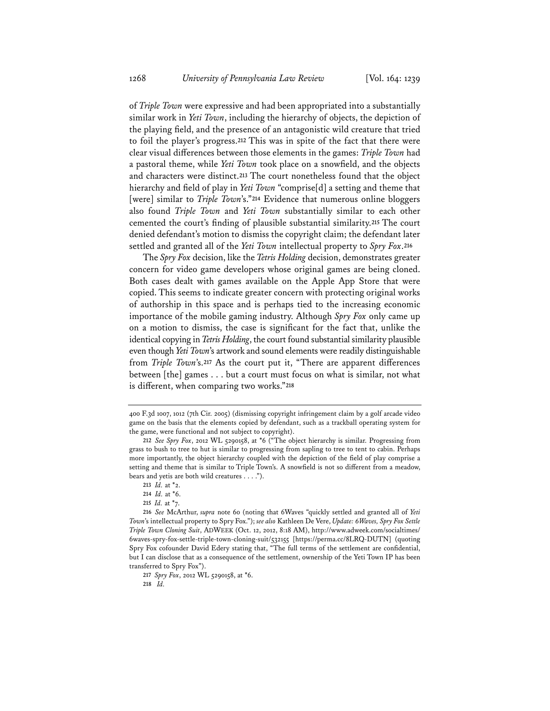of *Triple Town* were expressive and had been appropriated into a substantially similar work in *Yeti Town*, including the hierarchy of objects, the depiction of the playing field, and the presence of an antagonistic wild creature that tried to foil the player's progress.**<sup>212</sup>** This was in spite of the fact that there were clear visual differences between those elements in the games: *Triple Town* had a pastoral theme, while *Yeti Town* took place on a snowfield, and the objects and characters were distinct.**<sup>213</sup>** The court nonetheless found that the object hierarchy and field of play in *Yeti Town* "comprise[d] a setting and theme that [were] similar to *Triple Town*'s."**<sup>214</sup>** Evidence that numerous online bloggers also found *Triple Town* and *Yeti Town* substantially similar to each other cemented the court's finding of plausible substantial similarity.**<sup>215</sup>** The court denied defendant's motion to dismiss the copyright claim; the defendant later settled and granted all of the *Yeti Town* intellectual property to *Spry Fox*.**<sup>216</sup>**

The *Spry Fox* decision, like the *Tetris Holding* decision, demonstrates greater concern for video game developers whose original games are being cloned. Both cases dealt with games available on the Apple App Store that were copied. This seems to indicate greater concern with protecting original works of authorship in this space and is perhaps tied to the increasing economic importance of the mobile gaming industry. Although *Spry Fox* only came up on a motion to dismiss, the case is significant for the fact that, unlike the identical copying in *Tetris Holding*, the court found substantial similarity plausible even though *Yeti Town*'s artwork and sound elements were readily distinguishable from *Triple Town*'s.**<sup>217</sup>** As the court put it, "There are apparent differences between [the] games . . . but a court must focus on what is similar, not what is different, when comparing two works."**<sup>218</sup>**

<sup>400</sup> F.3d 1007, 1012 (7th Cir. 2005) (dismissing copyright infringement claim by a golf arcade video game on the basis that the elements copied by defendant, such as a trackball operating system for the game, were functional and not subject to copyright).

**<sup>212</sup>** *See Spry Fox*, 2012 WL 5290158, at \*6 ("The object hierarchy is similar. Progressing from grass to bush to tree to hut is similar to progressing from sapling to tree to tent to cabin. Perhaps more importantly, the object hierarchy coupled with the depiction of the field of play comprise a setting and theme that is similar to Triple Town's. A snowfield is not so different from a meadow, bears and yetis are both wild creatures . . . .").

**<sup>213</sup>** *Id.* at \*2.

**<sup>214</sup>** *Id.* at \*6.

**<sup>215</sup>** *Id.* at \*7.

**<sup>216</sup>** *See* McArthur, *supra* note 60 (noting that 6Waves "quickly settled and granted all of *Yeti Town*'s intellectual property to Spry Fox."); *see also* Kathleen De Vere, *Update: 6Waves, Spry Fox Settle Triple Town Cloning Suit*, ADWEEK (Oct. 12, 2012, 8:18 AM), http://www.adweek.com/socialtimes/ 6waves-spry-fox-settle-triple-town-cloning-suit/532155 [https://perma.cc/8LRQ-DUTN] (quoting Spry Fox cofounder David Edery stating that, "The full terms of the settlement are confidential, but I can disclose that as a consequence of the settlement, ownership of the Yeti Town IP has been transferred to Spry Fox").

**<sup>217</sup>** *Spry Fox*, 2012 WL 5290158, at \*6.

**<sup>218</sup>** *Id.*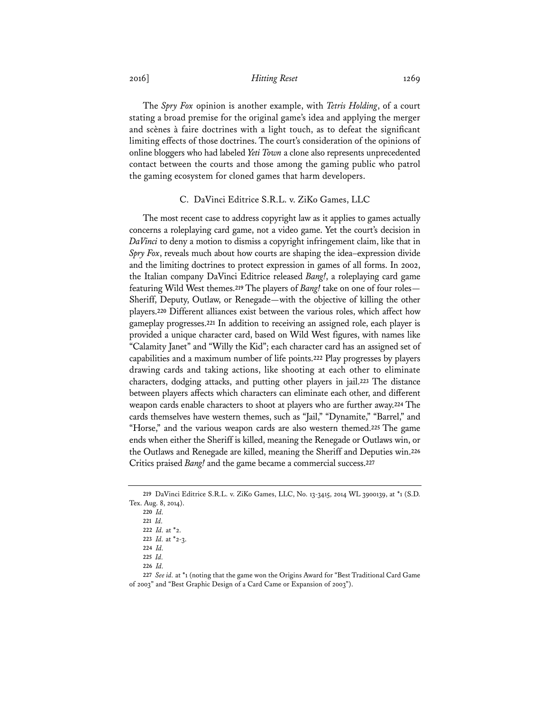The *Spry Fox* opinion is another example, with *Tetris Holding*, of a court stating a broad premise for the original game's idea and applying the merger and scènes à faire doctrines with a light touch, as to defeat the significant limiting effects of those doctrines. The court's consideration of the opinions of online bloggers who had labeled *Yeti Town* a clone also represents unprecedented contact between the courts and those among the gaming public who patrol the gaming ecosystem for cloned games that harm developers.

### C. DaVinci Editrice S.R.L. v. ZiKo Games, LLC

The most recent case to address copyright law as it applies to games actually concerns a roleplaying card game, not a video game. Yet the court's decision in *DaVinci* to deny a motion to dismiss a copyright infringement claim, like that in *Spry Fox*, reveals much about how courts are shaping the idea–expression divide and the limiting doctrines to protect expression in games of all forms. In 2002, the Italian company DaVinci Editrice released *Bang!*, a roleplaying card game featuring Wild West themes.**<sup>219</sup>** The players of *Bang!* take on one of four roles— Sheriff, Deputy, Outlaw, or Renegade—with the objective of killing the other players.**<sup>220</sup>** Different alliances exist between the various roles, which affect how gameplay progresses.**<sup>221</sup>** In addition to receiving an assigned role, each player is provided a unique character card, based on Wild West figures, with names like "Calamity Janet" and "Willy the Kid"; each character card has an assigned set of capabilities and a maximum number of life points.**<sup>222</sup>** Play progresses by players drawing cards and taking actions, like shooting at each other to eliminate characters, dodging attacks, and putting other players in jail.**<sup>223</sup>** The distance between players affects which characters can eliminate each other, and different weapon cards enable characters to shoot at players who are further away.**<sup>224</sup>** The cards themselves have western themes, such as "Jail," "Dynamite," "Barrel," and "Horse," and the various weapon cards are also western themed.**<sup>225</sup>** The game ends when either the Sheriff is killed, meaning the Renegade or Outlaws win, or the Outlaws and Renegade are killed, meaning the Sheriff and Deputies win.**<sup>226</sup>** Critics praised *Bang!* and the game became a commercial success.**<sup>227</sup>**

**<sup>219</sup>** DaVinci Editrice S.R.L. v. ZiKo Games, LLC, No. 13-3415, 2014 WL 3900139, at \*1 (S.D. Tex. Aug. 8, 2014).

**<sup>220</sup>** *Id.* 

**<sup>221</sup>** *Id.* 

**<sup>222</sup>** *Id.* at \*2.

**<sup>223</sup>** *Id.* at \*2-3.

**<sup>224</sup>** *Id.* 

**<sup>225</sup>** *Id.* 

**<sup>226</sup>** *Id.* 

**<sup>227</sup>** *See id.* at \*1 (noting that the game won the Origins Award for "Best Traditional Card Game of 2003" and "Best Graphic Design of a Card Came or Expansion of 2003").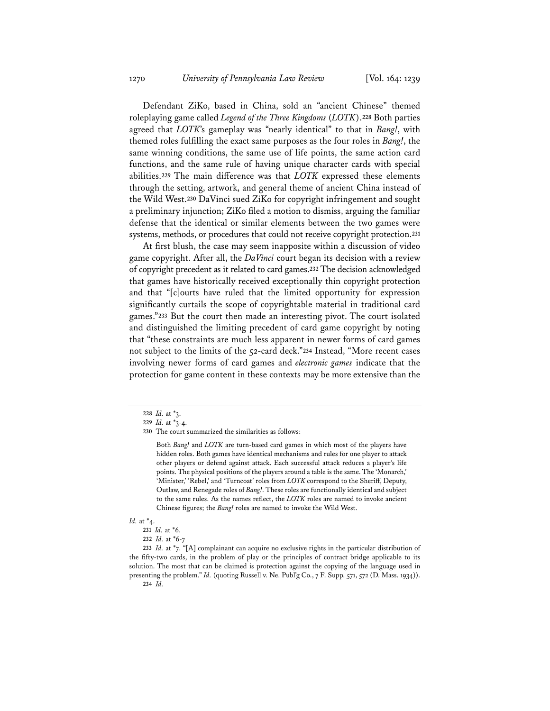Defendant ZiKo, based in China, sold an "ancient Chinese" themed roleplaying game called *Legend of the Three Kingdoms* (*LOTK*).**<sup>228</sup>** Both parties agreed that *LOTK*'s gameplay was "nearly identical" to that in *Bang!*, with themed roles fulfilling the exact same purposes as the four roles in *Bang!*, the same winning conditions, the same use of life points, the same action card functions, and the same rule of having unique character cards with special abilities.**<sup>229</sup>** The main difference was that *LOTK* expressed these elements through the setting, artwork, and general theme of ancient China instead of the Wild West.**<sup>230</sup>** DaVinci sued ZiKo for copyright infringement and sought a preliminary injunction; ZiKo filed a motion to dismiss, arguing the familiar defense that the identical or similar elements between the two games were systems, methods, or procedures that could not receive copyright protection.**<sup>231</sup>**

At first blush, the case may seem inapposite within a discussion of video game copyright. After all, the *DaVinci* court began its decision with a review of copyright precedent as it related to card games.**<sup>232</sup>** The decision acknowledged that games have historically received exceptionally thin copyright protection and that "[c]ourts have ruled that the limited opportunity for expression significantly curtails the scope of copyrightable material in traditional card games."**<sup>233</sup>** But the court then made an interesting pivot. The court isolated and distinguished the limiting precedent of card game copyright by noting that "these constraints are much less apparent in newer forms of card games not subject to the limits of the 52-card deck."**<sup>234</sup>** Instead, "More recent cases involving newer forms of card games and *electronic games* indicate that the protection for game content in these contexts may be more extensive than the

Both *Bang!* and *LOTK* are turn-based card games in which most of the players have hidden roles. Both games have identical mechanisms and rules for one player to attack other players or defend against attack. Each successful attack reduces a player's life points. The physical positions of the players around a table is the same. The 'Monarch,' 'Minister,' 'Rebel,' and 'Turncoat' roles from *LOTK* correspond to the Sheriff, Deputy, Outlaw, and Renegade roles of *Bang!*. These roles are functionally identical and subject to the same rules. As the names reflect, the *LOTK* roles are named to invoke ancient Chinese figures; the *Bang!* roles are named to invoke the Wild West.

### *Id.* at \*4.

- **231** *Id.* at \*6.
- **232** *Id.* at \*6-7

**233** *Id.* at \*7. "[A] complainant can acquire no exclusive rights in the particular distribution of the fifty-two cards, in the problem of play or the principles of contract bridge applicable to its solution. The most that can be claimed is protection against the copying of the language used in presenting the problem." *Id.* (quoting Russell v. Ne. Publ'g Co., 7 F. Supp. 571, 572 (D. Mass. 1934)). **234** *Id.*

**<sup>228</sup>** *Id.* at \*3.

**<sup>229</sup>** *Id.* at \*3-4.

**<sup>230</sup>** The court summarized the similarities as follows: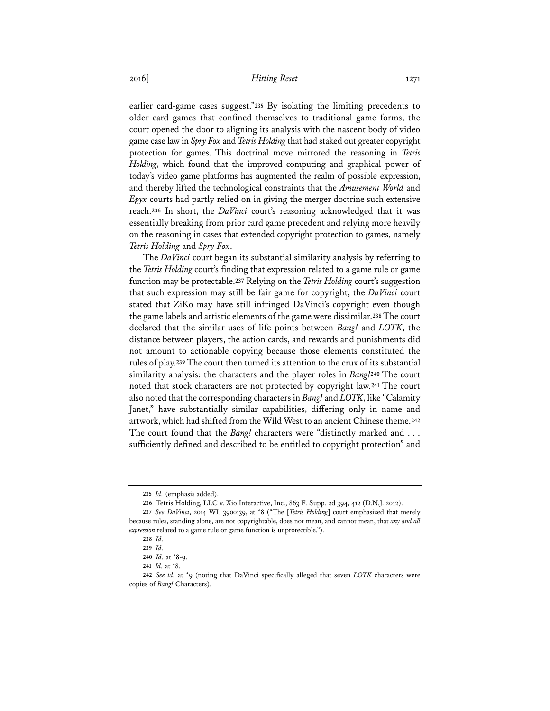earlier card-game cases suggest."**<sup>235</sup>** By isolating the limiting precedents to older card games that confined themselves to traditional game forms, the court opened the door to aligning its analysis with the nascent body of video game case law in *Spry Fox* and *Tetris Holding* that had staked out greater copyright protection for games. This doctrinal move mirrored the reasoning in *Tetris Holding*, which found that the improved computing and graphical power of today's video game platforms has augmented the realm of possible expression, and thereby lifted the technological constraints that the *Amusement World* and *Epyx* courts had partly relied on in giving the merger doctrine such extensive reach.**<sup>236</sup>** In short, the *DaVinci* court's reasoning acknowledged that it was essentially breaking from prior card game precedent and relying more heavily on the reasoning in cases that extended copyright protection to games, namely *Tetris Holding* and *Spry Fox*.

The *DaVinci* court began its substantial similarity analysis by referring to the *Tetris Holding* court's finding that expression related to a game rule or game function may be protectable.**<sup>237</sup>** Relying on the *Tetris Holding* court's suggestion that such expression may still be fair game for copyright, the *DaVinci* court stated that ZiKo may have still infringed DaVinci's copyright even though the game labels and artistic elements of the game were dissimilar.**<sup>238</sup>** The court declared that the similar uses of life points between *Bang!* and *LOTK*, the distance between players, the action cards, and rewards and punishments did not amount to actionable copying because those elements constituted the rules of play.**<sup>239</sup>** The court then turned its attention to the crux of its substantial similarity analysis: the characters and the player roles in *Bang!***<sup>240</sup>** The court noted that stock characters are not protected by copyright law.**<sup>241</sup>** The court also noted that the corresponding characters in *Bang!* and *LOTK*, like "Calamity Janet," have substantially similar capabilities, differing only in name and artwork, which had shifted from the Wild West to an ancient Chinese theme.**<sup>242</sup>** The court found that the *Bang!* characters were "distinctly marked and . . . sufficiently defined and described to be entitled to copyright protection" and

**<sup>235</sup>** *Id.* (emphasis added).

**<sup>236</sup>** Tetris Holding, LLC v. Xio Interactive, Inc., 863 F. Supp. 2d 394, 412 (D.N.J. 2012).

**<sup>237</sup>** *See DaVinci*, 2014 WL 3900139, at \*8 ("The [*Tetris Holding*] court emphasized that merely because rules, standing alone, are not copyrightable, does not mean, and cannot mean, that *any and all expression* related to a game rule or game function is unprotectible.").

**<sup>238</sup>** *Id.*

**<sup>239</sup>** *Id.*

**<sup>240</sup>** *Id.* at \*8-9.

**<sup>241</sup>** *Id.* at \*8.

**<sup>242</sup>** *See id.* at \*9 (noting that DaVinci specifically alleged that seven *LOTK* characters were copies of *Bang!* Characters).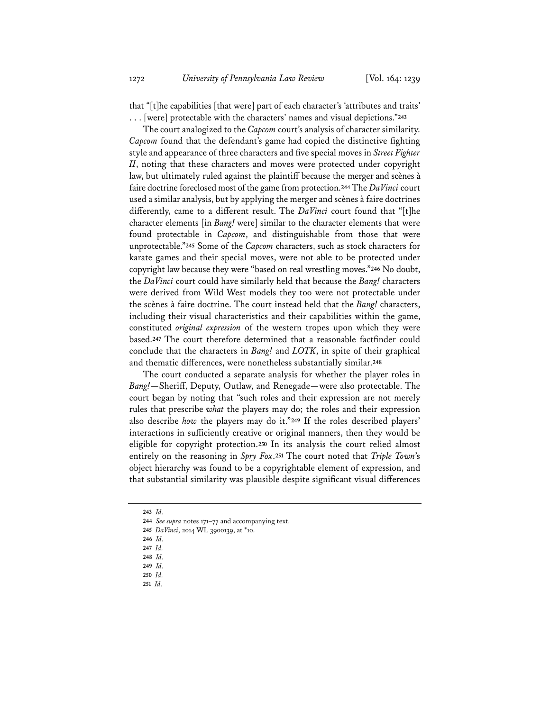that "[t]he capabilities [that were] part of each character's 'attributes and traits' . . . [were] protectable with the characters' names and visual depictions."**<sup>243</sup>**

The court analogized to the *Capcom* court's analysis of character similarity. *Capcom* found that the defendant's game had copied the distinctive fighting style and appearance of three characters and five special moves in *Street Fighter II*, noting that these characters and moves were protected under copyright law, but ultimately ruled against the plaintiff because the merger and scènes à faire doctrine foreclosed most of the game from protection.**<sup>244</sup>** The *DaVinci* court used a similar analysis, but by applying the merger and scènes à faire doctrines differently, came to a different result. The *DaVinci* court found that "[t]he character elements [in *Bang!* were] similar to the character elements that were found protectable in *Capcom*, and distinguishable from those that were unprotectable."**<sup>245</sup>** Some of the *Capcom* characters, such as stock characters for karate games and their special moves, were not able to be protected under copyright law because they were "based on real wrestling moves."**<sup>246</sup>** No doubt, the *DaVinci* court could have similarly held that because the *Bang!* characters were derived from Wild West models they too were not protectable under the scènes à faire doctrine. The court instead held that the *Bang!* characters, including their visual characteristics and their capabilities within the game, constituted *original expression* of the western tropes upon which they were based.**<sup>247</sup>** The court therefore determined that a reasonable factfinder could conclude that the characters in *Bang!* and *LOTK*, in spite of their graphical and thematic differences, were nonetheless substantially similar.**<sup>248</sup>**

The court conducted a separate analysis for whether the player roles in *Bang!*—Sheriff, Deputy, Outlaw, and Renegade—were also protectable. The court began by noting that "such roles and their expression are not merely rules that prescribe *what* the players may do; the roles and their expression also describe *how* the players may do it."**<sup>249</sup>** If the roles described players' interactions in sufficiently creative or original manners, then they would be eligible for copyright protection.**<sup>250</sup>** In its analysis the court relied almost entirely on the reasoning in *Spry Fox*.**<sup>251</sup>** The court noted that *Triple Town*'s object hierarchy was found to be a copyrightable element of expression, and that substantial similarity was plausible despite significant visual differences

- **247** *Id.*
- **248** *Id.*
- **249** *Id.*
- **250** *Id.* **251** *Id.*

**<sup>243</sup>** *Id.* 

**<sup>244</sup>** *See supra* notes 171–77 and accompanying text.

**<sup>245</sup>** *DaVinci*, 2014 WL 3900139, at \*10.

**<sup>246</sup>** *Id.*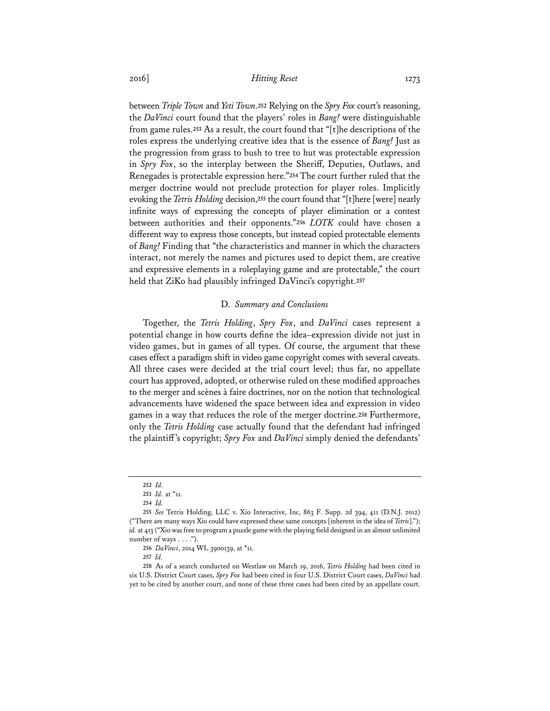between *Triple Town* and *Yeti Town*.**<sup>252</sup>** Relying on the *Spry Fox* court's reasoning, the *DaVinci* court found that the players' roles in *Bang!* were distinguishable from game rules.**<sup>253</sup>** As a result, the court found that "[t]he descriptions of the roles express the underlying creative idea that is the essence of *Bang!* Just as the progression from grass to bush to tree to hut was protectable expression in *Spry Fox*, so the interplay between the Sheriff, Deputies, Outlaws, and Renegades is protectable expression here."**<sup>254</sup>** The court further ruled that the merger doctrine would not preclude protection for player roles. Implicitly evoking the *Tetris Holding* decision,**<sup>255</sup>** the court found that "[t]here [were] nearly infinite ways of expressing the concepts of player elimination or a contest between authorities and their opponents."**<sup>256</sup>** *LOTK* could have chosen a different way to express those concepts, but instead copied protectable elements of *Bang!* Finding that "the characteristics and manner in which the characters interact, not merely the names and pictures used to depict them, are creative and expressive elements in a roleplaying game and are protectable," the court held that ZiKo had plausibly infringed DaVinci's copyright.**<sup>257</sup>**

#### D. *Summary and Conclusions*

Together, the *Tetris Holding*, *Spry Fox*, and *DaVinci* cases represent a potential change in how courts define the idea–expression divide not just in video games, but in games of all types. Of course, the argument that these cases effect a paradigm shift in video game copyright comes with several caveats. All three cases were decided at the trial court level; thus far, no appellate court has approved, adopted, or otherwise ruled on these modified approaches to the merger and scènes à faire doctrines, nor on the notion that technological advancements have widened the space between idea and expression in video games in a way that reduces the role of the merger doctrine.**<sup>258</sup>** Furthermore, only the *Tetris Holding* case actually found that the defendant had infringed the plaintiff's copyright; *Spry Fox* and *DaVinci* simply denied the defendants'

**<sup>252</sup>** *Id.*

**<sup>253</sup>** *Id.* at \*11.

**<sup>254</sup>** *Id.*

**<sup>255</sup>** *See* Tetris Holding, LLC v. Xio Interactive, Inc, 863 F. Supp. 2d 394, 411 (D.N.J. 2012) ("There are many ways Xio could have expressed these same concepts [inherent in the idea of *Tetris*]."); *id.* at 413 ("Xio was free to program a puzzle game with the playing field designed in an almost unlimited number of ways  $\dots$ .").

**<sup>256</sup>** *DaVinci*, 2014 WL 3900139, at \*11.

**<sup>257</sup>** *Id.*

**<sup>258</sup>** As of a search conducted on Westlaw on March 19, 2016, *Tetris Holding* had been cited in six U.S. District Court cases, *Spry Fox* had been cited in four U.S. District Court cases, *DaVinci* had yet to be cited by another court, and none of these three cases had been cited by an appellate court.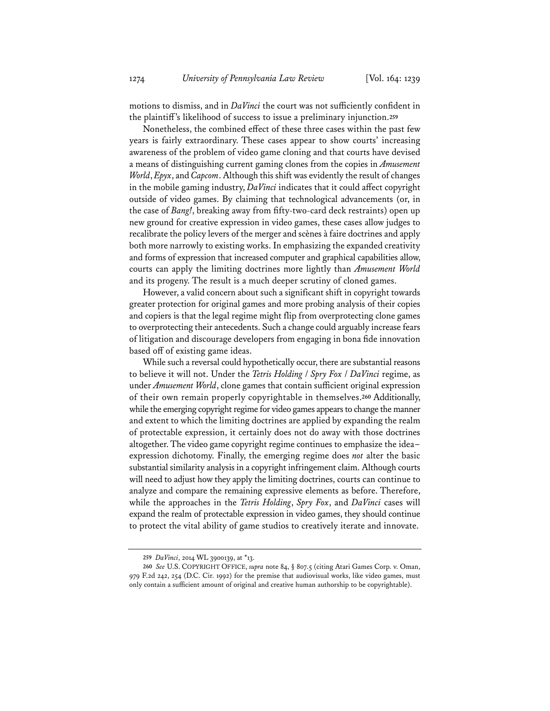motions to dismiss, and in *DaVinci* the court was not sufficiently confident in the plaintiff's likelihood of success to issue a preliminary injunction.**<sup>259</sup>**

Nonetheless, the combined effect of these three cases within the past few years is fairly extraordinary. These cases appear to show courts' increasing awareness of the problem of video game cloning and that courts have devised a means of distinguishing current gaming clones from the copies in *Amusement World*, *Epyx*, and *Capcom*. Although this shift was evidently the result of changes in the mobile gaming industry, *DaVinci* indicates that it could affect copyright outside of video games. By claiming that technological advancements (or, in the case of *Bang!*, breaking away from fifty-two-card deck restraints) open up new ground for creative expression in video games, these cases allow judges to recalibrate the policy levers of the merger and scènes à faire doctrines and apply both more narrowly to existing works. In emphasizing the expanded creativity and forms of expression that increased computer and graphical capabilities allow, courts can apply the limiting doctrines more lightly than *Amusement World* and its progeny. The result is a much deeper scrutiny of cloned games.

However, a valid concern about such a significant shift in copyright towards greater protection for original games and more probing analysis of their copies and copiers is that the legal regime might flip from overprotecting clone games to overprotecting their antecedents. Such a change could arguably increase fears of litigation and discourage developers from engaging in bona fide innovation based off of existing game ideas.

While such a reversal could hypothetically occur, there are substantial reasons to believe it will not. Under the *Tetris Holding* / *Spry Fox* / *DaVinci* regime, as under *Amusement World*, clone games that contain sufficient original expression of their own remain properly copyrightable in themselves.**<sup>260</sup>** Additionally, while the emerging copyright regime for video games appears to change the manner and extent to which the limiting doctrines are applied by expanding the realm of protectable expression, it certainly does not do away with those doctrines altogether. The video game copyright regime continues to emphasize the idea– expression dichotomy. Finally, the emerging regime does *not* alter the basic substantial similarity analysis in a copyright infringement claim. Although courts will need to adjust how they apply the limiting doctrines, courts can continue to analyze and compare the remaining expressive elements as before. Therefore, while the approaches in the *Tetris Holding*, *Spry Fox*, and *DaVinci* cases will expand the realm of protectable expression in video games, they should continue to protect the vital ability of game studios to creatively iterate and innovate.

**<sup>259</sup>** *DaVinci*, 2014 WL 3900139, at \*13.

**<sup>260</sup>** *See* U.S. COPYRIGHT OFFICE, *supra* note 84, § 807.5 (citing Atari Games Corp. v. Oman, 979 F.2d 242, 254 (D.C. Cir. 1992) for the premise that audiovisual works, like video games, must only contain a sufficient amount of original and creative human authorship to be copyrightable).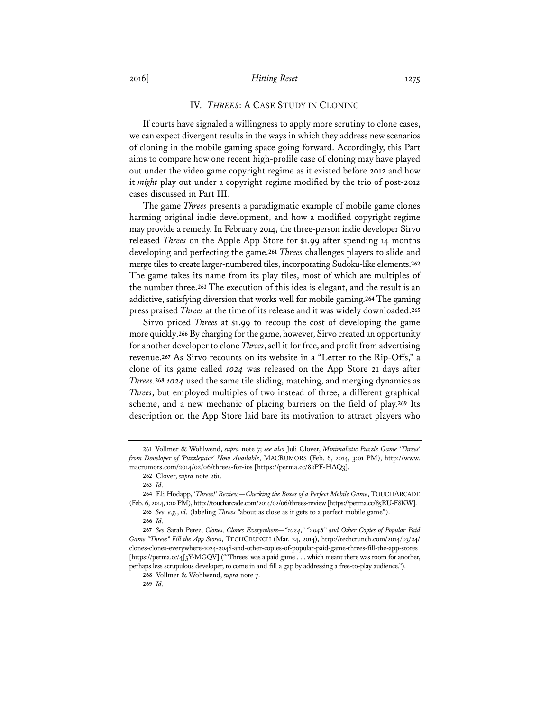### IV. *THREES*: A CASE STUDY IN CLONING

If courts have signaled a willingness to apply more scrutiny to clone cases, we can expect divergent results in the ways in which they address new scenarios of cloning in the mobile gaming space going forward. Accordingly, this Part aims to compare how one recent high-profile case of cloning may have played out under the video game copyright regime as it existed before 2012 and how it *might* play out under a copyright regime modified by the trio of post-2012 cases discussed in Part III.

The game *Threes* presents a paradigmatic example of mobile game clones harming original indie development, and how a modified copyright regime may provide a remedy. In February 2014, the three-person indie developer Sirvo released *Threes* on the Apple App Store for \$1.99 after spending 14 months developing and perfecting the game.**<sup>261</sup>** *Threes* challenges players to slide and merge tiles to create larger-numbered tiles, incorporating Sudoku-like elements.**<sup>262</sup>** The game takes its name from its play tiles, most of which are multiples of the number three.**<sup>263</sup>** The execution of this idea is elegant, and the result is an addictive, satisfying diversion that works well for mobile gaming.**<sup>264</sup>** The gaming press praised *Threes* at the time of its release and it was widely downloaded.**<sup>265</sup>**

Sirvo priced *Threes* at \$1.99 to recoup the cost of developing the game more quickly.**<sup>266</sup>** By charging for the game, however, Sirvo created an opportunity for another developer to clone *Threes*, sell it for free, and profit from advertising revenue.**<sup>267</sup>** As Sirvo recounts on its website in a "Letter to the Rip-Offs," a clone of its game called *1024* was released on the App Store 21 days after *Threes*.**<sup>268</sup>** *1024* used the same tile sliding, matching, and merging dynamics as *Threes*, but employed multiples of two instead of three, a different graphical scheme, and a new mechanic of placing barriers on the field of play.**<sup>269</sup>** Its description on the App Store laid bare its motivation to attract players who

**268** Vollmer & Wohlwend, *supra* note 7.

**<sup>261</sup>** Vollmer & Wohlwend, *supra* note 7; *see also* Juli Clover, *Minimalistic Puzzle Game 'Threes' from Developer of 'Puzzlejuice' Now Available*, MACRUMORS (Feb. 6, 2014, 3:01 PM), http://www. macrumors.com/2014/02/06/threes-for-ios [https://perma.cc/82PF-HAQ3].

**<sup>262</sup>** Clover, *supra* note 261.

**<sup>263</sup>** *Id.*

**<sup>264</sup>** Eli Hodapp, '*Threes!' Review—Checking the Boxes of a Perfect Mobile Game*, TOUCHARCADE (Feb. 6, 2014, 1:10 PM), http://toucharcade.com/2014/02/06/threes-review [https://perma.cc/85RU-F8KW].

**<sup>265</sup>** *See, e.g.*, *id.* (labeling *Threes* "about as close as it gets to a perfect mobile game").

**<sup>266</sup>** *Id.* 

**<sup>267</sup>** *See* Sarah Perez, *Clones, Clones Everywhere—"1024," "2048" and Other Copies of Popular Paid Game "Threes" Fill the App Stores*, TECHCRUNCH (Mar. 24, 2014), http://techcrunch.com/2014/03/24/ clones-clones-everywhere-1024-2048-and-other-copies-of-popular-paid-game-threes-fill-the-app-stores [https://perma.cc/4J5Y-MGQV] ("'Threes' was a paid game . . . which meant there was room for another, perhaps less scrupulous developer, to come in and fill a gap by addressing a free-to-play audience.").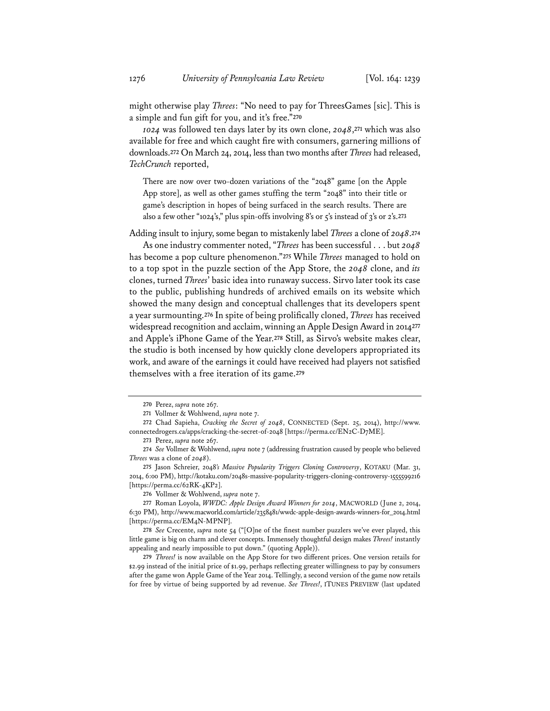might otherwise play *Threes*: "No need to pay for ThreesGames [sic]. This is a simple and fun gift for you, and it's free."**<sup>270</sup>**

*1024* was followed ten days later by its own clone, *2048*,**<sup>271</sup>** which was also available for free and which caught fire with consumers, garnering millions of downloads.**<sup>272</sup>** On March 24, 2014, less than two months after *Threes* had released, *TechCrunch* reported,

There are now over two-dozen variations of the "2048" game [on the Apple App store], as well as other games stuffing the term "2048" into their title or game's description in hopes of being surfaced in the search results. There are also a few other "1024's," plus spin-offs involving 8's or 5's instead of 3's or 2's.**<sup>273</sup>**

Adding insult to injury, some began to mistakenly label *Threes* a clone of *2048*.**<sup>274</sup>**

As one industry commenter noted, "*Threes* has been successful . . . but *2048* has become a pop culture phenomenon."**<sup>275</sup>** While *Threes* managed to hold on to a top spot in the puzzle section of the App Store, the *2048* clone, and *its* clones, turned *Threes*' basic idea into runaway success. Sirvo later took its case to the public, publishing hundreds of archived emails on its website which showed the many design and conceptual challenges that its developers spent a year surmounting.**<sup>276</sup>** In spite of being prolifically cloned, *Threes* has received widespread recognition and acclaim, winning an Apple Design Award in 2014**<sup>277</sup>** and Apple's iPhone Game of the Year.**<sup>278</sup>** Still, as Sirvo's website makes clear, the studio is both incensed by how quickly clone developers appropriated its work, and aware of the earnings it could have received had players not satisfied themselves with a free iteration of its game.**<sup>279</sup>**

**279** *Threes!* is now available on the App Store for two different prices. One version retails for \$2.99 instead of the initial price of \$1.99, perhaps reflecting greater willingness to pay by consumers after the game won Apple Game of the Year 2014. Tellingly, a second version of the game now retails for free by virtue of being supported by ad revenue. *See Threes!*, ITUNES PREVIEW (last updated

**<sup>270</sup>** Perez, *supra* note 267.

**<sup>271</sup>** Vollmer & Wohlwend, *supra* note 7.

**<sup>272</sup>** Chad Sapieha, *Cracking the Secret of 2048*, CONNECTED (Sept. 25, 2014), http://www. connectedrogers.ca/apps/cracking-the-secret-of-2048 [https://perma.cc/EN2C-D7ME].

**<sup>273</sup>** Perez, *supra* note 267.

**<sup>274</sup>** *See* Vollmer & Wohlwend, *supra* note 7 (addressing frustration caused by people who believed *Threes* was a clone of *2048*).

**<sup>275</sup>** Jason Schreier, 2048*'s Massive Popularity Triggers Cloning Controversy*, KOTAKU (Mar. 31, 2014, 6:00 PM), http://kotaku.com/2048s-massive-popularity-triggers-cloning-controversy-1555599216 [https://perma.cc/62RK-4KP2].

**<sup>276</sup>** Vollmer & Wohlwend, *supra* note 7.

**<sup>277</sup>** Roman Loyola, *WWDC: Apple Design Award Winners for 2014*, MACWORLD (June 2, 2014, 6:30 PM), http://www.macworld.com/article/2358481/wwdc-apple-design-awards-winners-for\_2014.html [https://perma.cc/EM4N-MPNP].

**<sup>278</sup>** *See* Crecente, *supra* note 54 ("[O]ne of the finest number puzzlers we've ever played, this little game is big on charm and clever concepts. Immensely thoughtful design makes *Threes!* instantly appealing and nearly impossible to put down." (quoting Apple)).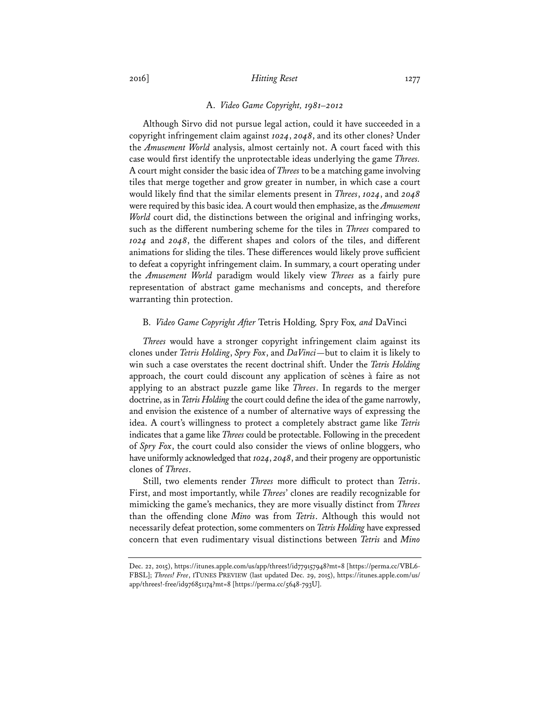### A. *Video Game Copyright, 1981–2012*

Although Sirvo did not pursue legal action, could it have succeeded in a copyright infringement claim against *1024*, *2048*, and its other clones? Under the *Amusement World* analysis, almost certainly not. A court faced with this case would first identify the unprotectable ideas underlying the game *Threes.*  A court might consider the basic idea of *Threes* to be a matching game involving tiles that merge together and grow greater in number, in which case a court would likely find that the similar elements present in *Threes*, *1024*, and *2048* were required by this basic idea. A court would then emphasize, as the *Amusement World* court did, the distinctions between the original and infringing works, such as the different numbering scheme for the tiles in *Threes* compared to *1024* and *2048*, the different shapes and colors of the tiles, and different animations for sliding the tiles. These differences would likely prove sufficient to defeat a copyright infringement claim. In summary, a court operating under the *Amusement World* paradigm would likely view *Threes* as a fairly pure representation of abstract game mechanisms and concepts, and therefore warranting thin protection.

### B. *Video Game Copyright After* Tetris Holding*,* Spry Fox*, and* DaVinci

*Threes* would have a stronger copyright infringement claim against its clones under *Tetris Holding*, *Spry Fox*, and *DaVinci*—but to claim it is likely to win such a case overstates the recent doctrinal shift. Under the *Tetris Holding* approach, the court could discount any application of scènes à faire as not applying to an abstract puzzle game like *Threes*. In regards to the merger doctrine, as in *Tetris Holding* the court could define the idea of the game narrowly, and envision the existence of a number of alternative ways of expressing the idea. A court's willingness to protect a completely abstract game like *Tetris* indicates that a game like *Threes* could be protectable. Following in the precedent of *Spry Fox*, the court could also consider the views of online bloggers, who have uniformly acknowledged that *1024*, *2048*, and their progeny are opportunistic clones of *Threes*.

Still, two elements render *Threes* more difficult to protect than *Tetris*. First, and most importantly, while *Threes*' clones are readily recognizable for mimicking the game's mechanics, they are more visually distinct from *Threes* than the offending clone *Mino* was from *Tetris*. Although this would not necessarily defeat protection, some commenters on *Tetris Holding* have expressed concern that even rudimentary visual distinctions between *Tetris* and *Mino*

Dec. 22, 2015), https://itunes.apple.com/us/app/threes!/id779157948?mt=8 [https://perma.cc/VBL6- FBSL]; *Threes! Free*, ITUNES PREVIEW (last updated Dec. 29, 2015), https://itunes.apple.com/us/ app/threes!-free/id976851174?mt=8 [https://perma.cc/5648-793U].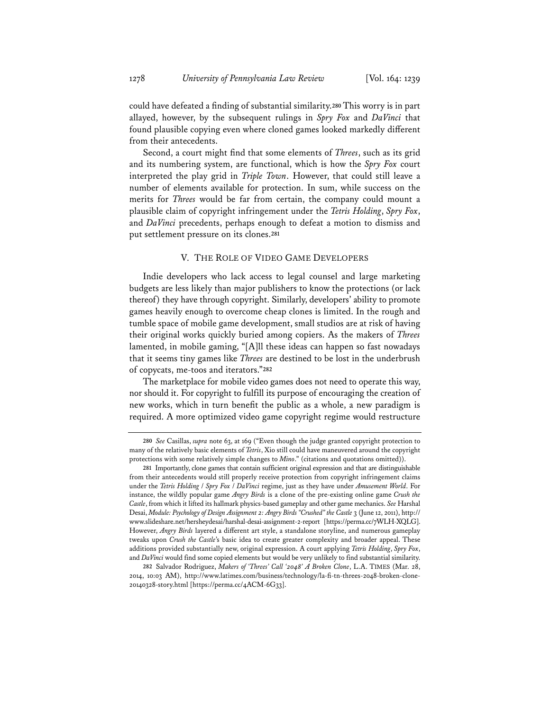could have defeated a finding of substantial similarity.**<sup>280</sup>** This worry is in part allayed, however, by the subsequent rulings in *Spry Fox* and *DaVinci* that found plausible copying even where cloned games looked markedly different from their antecedents.

Second, a court might find that some elements of *Threes*, such as its grid and its numbering system, are functional, which is how the *Spry Fox* court interpreted the play grid in *Triple Town*. However, that could still leave a number of elements available for protection. In sum, while success on the merits for *Threes* would be far from certain, the company could mount a plausible claim of copyright infringement under the *Tetris Holding*, *Spry Fox*, and *DaVinci* precedents, perhaps enough to defeat a motion to dismiss and put settlement pressure on its clones.**<sup>281</sup>**

### V. THE ROLE OF VIDEO GAME DEVELOPERS

Indie developers who lack access to legal counsel and large marketing budgets are less likely than major publishers to know the protections (or lack thereof) they have through copyright. Similarly, developers' ability to promote games heavily enough to overcome cheap clones is limited. In the rough and tumble space of mobile game development, small studios are at risk of having their original works quickly buried among copiers. As the makers of *Threes* lamented, in mobile gaming, "[A]ll these ideas can happen so fast nowadays that it seems tiny games like *Threes* are destined to be lost in the underbrush of copycats, me-toos and iterators."**<sup>282</sup>**

The marketplace for mobile video games does not need to operate this way, nor should it. For copyright to fulfill its purpose of encouraging the creation of new works, which in turn benefit the public as a whole, a new paradigm is required. A more optimized video game copyright regime would restructure

**<sup>280</sup>** *See* Casillas, *supra* note 63, at 169 ("Even though the judge granted copyright protection to many of the relatively basic elements of *Tetris*, Xio still could have maneuvered around the copyright protections with some relatively simple changes to *Mino*." (citations and quotations omitted)).

**<sup>281</sup>** Importantly, clone games that contain sufficient original expression and that are distinguishable from their antecedents would still properly receive protection from copyright infringement claims under the *Tetris Holding* / *Spry Fox* / *DaVinci* regime, just as they have under *Amusement World*. For instance, the wildly popular game *Angry Birds* is a clone of the pre-existing online game *Crush the Castle*, from which it lifted its hallmark physics-based gameplay and other game mechanics. *See* Harshal Desai, *Module: Psychology of Design Assignment 2: Angry Birds "Crushed" the Castle* 3 (June 12, 2011), http:// www.slideshare.net/hersheydesai/harshal-desai-assignment-2-report [https://perma.cc/7WLH-XQLG]. However, *Angry Birds* layered a different art style, a standalone storyline, and numerous gameplay tweaks upon *Crush the Castle*'s basic idea to create greater complexity and broader appeal. These additions provided substantially new, original expression. A court applying *Tetris Holding*, *Spry Fox*, and *DaVinci* would find some copied elements but would be very unlikely to find substantial similarity.

**<sup>282</sup>** Salvador Rodriguez, *Makers of 'Threes' Call '2048' A Broken Clone*, L.A. TIMES (Mar. 28, 2014, 10:03 AM), http://www.latimes.com/business/technology/la-fi-tn-threes-2048-broken-clone-20140328-story.html [https://perma.cc/4ACM-6G33].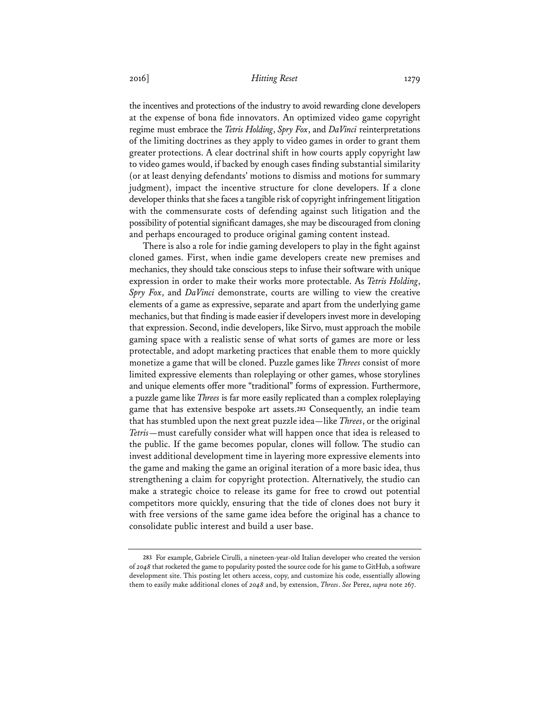the incentives and protections of the industry to avoid rewarding clone developers at the expense of bona fide innovators. An optimized video game copyright regime must embrace the *Tetris Holding*, *Spry Fox*, and *DaVinci* reinterpretations of the limiting doctrines as they apply to video games in order to grant them greater protections. A clear doctrinal shift in how courts apply copyright law to video games would, if backed by enough cases finding substantial similarity (or at least denying defendants' motions to dismiss and motions for summary judgment), impact the incentive structure for clone developers. If a clone developer thinks that she faces a tangible risk of copyright infringement litigation with the commensurate costs of defending against such litigation and the possibility of potential significant damages, she may be discouraged from cloning and perhaps encouraged to produce original gaming content instead.

There is also a role for indie gaming developers to play in the fight against cloned games. First, when indie game developers create new premises and mechanics, they should take conscious steps to infuse their software with unique expression in order to make their works more protectable. As *Tetris Holding*, *Spry Fox*, and *DaVinci* demonstrate, courts are willing to view the creative elements of a game as expressive, separate and apart from the underlying game mechanics, but that finding is made easier if developers invest more in developing that expression. Second, indie developers, like Sirvo, must approach the mobile gaming space with a realistic sense of what sorts of games are more or less protectable, and adopt marketing practices that enable them to more quickly monetize a game that will be cloned. Puzzle games like *Threes* consist of more limited expressive elements than roleplaying or other games, whose storylines and unique elements offer more "traditional" forms of expression. Furthermore, a puzzle game like *Threes* is far more easily replicated than a complex roleplaying game that has extensive bespoke art assets.**<sup>283</sup>** Consequently, an indie team that has stumbled upon the next great puzzle idea—like *Threes*, or the original *Tetris*—must carefully consider what will happen once that idea is released to the public. If the game becomes popular, clones will follow. The studio can invest additional development time in layering more expressive elements into the game and making the game an original iteration of a more basic idea, thus strengthening a claim for copyright protection. Alternatively, the studio can make a strategic choice to release its game for free to crowd out potential competitors more quickly, ensuring that the tide of clones does not bury it with free versions of the same game idea before the original has a chance to consolidate public interest and build a user base.

**<sup>283</sup>** For example, Gabriele Cirulli, a nineteen-year-old Italian developer who created the version of *2048* that rocketed the game to popularity posted the source code for his game to GitHub, a software development site. This posting let others access, copy, and customize his code, essentially allowing them to easily make additional clones of *2048* and, by extension, *Threes*. *See* Perez, *supra* note 267.